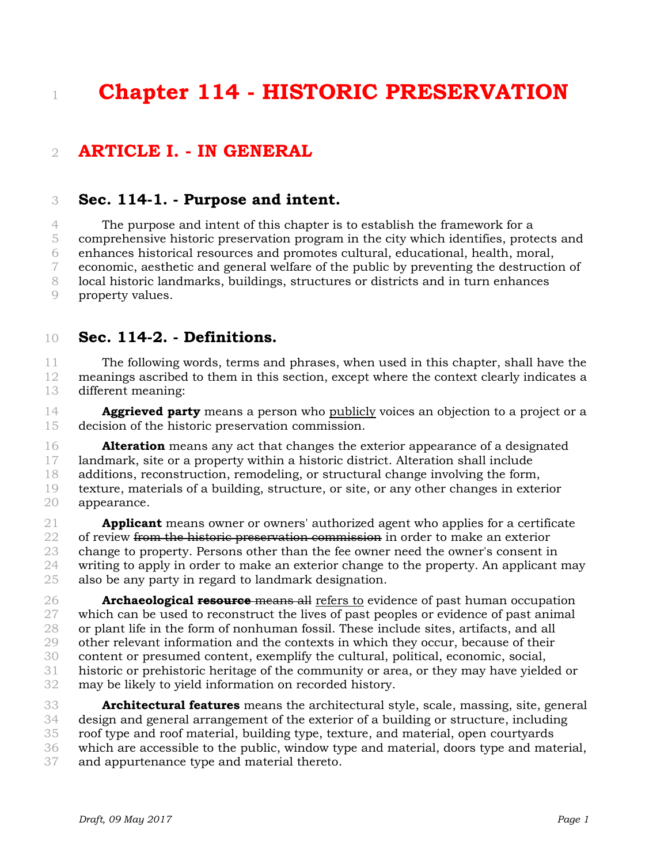# **Chapter 114 - HISTORIC PRESERVATION**

# **ARTICLE I. - IN GENERAL**

#### **Sec. 114-1. - Purpose and intent.**

 The purpose and intent of this chapter is to establish the framework for a comprehensive historic preservation program in the city which identifies, protects and enhances historical resources and promotes cultural, educational, health, moral, economic, aesthetic and general welfare of the public by preventing the destruction of local historic landmarks, buildings, structures or districts and in turn enhances property values.

**Sec. 114-2. - Definitions.** 

 The following words, terms and phrases, when used in this chapter, shall have the meanings ascribed to them in this section, except where the context clearly indicates a different meaning:

 **Aggrieved party** means a person who publicly voices an objection to a project or a decision of the historic preservation commission.

 **Alteration** means any act that changes the exterior appearance of a designated landmark, site or a property within a historic district. Alteration shall include additions, reconstruction, remodeling, or structural change involving the form, texture, materials of a building, structure, or site, or any other changes in exterior appearance.

 **Applicant** means owner or owners' authorized agent who applies for a certificate 22 of review from the historic preservation commission in order to make an exterior change to property. Persons other than the fee owner need the owner's consent in writing to apply in order to make an exterior change to the property. An applicant may also be any party in regard to landmark designation.

 **Archaeological resource** means all refers to evidence of past human occupation which can be used to reconstruct the lives of past peoples or evidence of past animal or plant life in the form of nonhuman fossil. These include sites, artifacts, and all other relevant information and the contexts in which they occur, because of their content or presumed content, exemplify the cultural, political, economic, social, historic or prehistoric heritage of the community or area, or they may have yielded or may be likely to yield information on recorded history.

 **Architectural features** means the architectural style, scale, massing, site, general design and general arrangement of the exterior of a building or structure, including roof type and roof material, building type, texture, and material, open courtyards which are accessible to the public, window type and material, doors type and material, and appurtenance type and material thereto.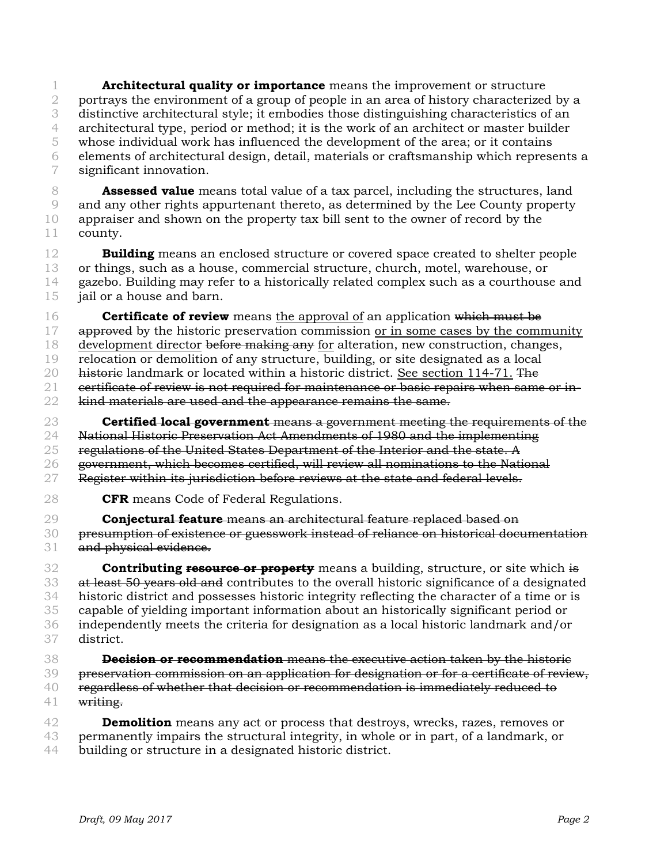**Architectural quality or importance** means the improvement or structure 2 portrays the environment of a group of people in an area of history characterized by a distinctive architectural style; it embodies those distinguishing characteristics of an architectural type, period or method; it is the work of an architect or master builder whose individual work has influenced the development of the area; or it contains elements of architectural design, detail, materials or craftsmanship which represents a significant innovation.

 **Assessed value** means total value of a tax parcel, including the structures, land and any other rights appurtenant thereto, as determined by the Lee County property appraiser and shown on the property tax bill sent to the owner of record by the county.

 **Building** means an enclosed structure or covered space created to shelter people or things, such as a house, commercial structure, church, motel, warehouse, or gazebo. Building may refer to a historically related complex such as a courthouse and 15 iail or a house and barn.

 **Certificate of review** means the approval of an application which must be 17 approved by the historic preservation commission or in some cases by the community 18 development director before making any for alteration, new construction, changes, relocation or demolition of any structure, building, or site designated as a local 20 historie landmark or located within a historic district. See section 114-71. The eertificate of review is not required for maintenance or basic repairs when same or in-22 kind materials are used and the appearance remains the same.

 **Certified local government** means a government meeting the requirements of the 24 National Historic Preservation Act Amendments of 1980 and the implementing 25 regulations of the United States Department of the Interior and the state. A government, which becomes certified, will review all nominations to the National 27 Register within its jurisdiction before reviews at the state and federal levels.

**CFR** means Code of Federal Regulations.

 **Conjectural feature** means an architectural feature replaced based on presumption of existence or guesswork instead of reliance on historical documentation 31 and physical evidence.

 **Contributing resource or property** means a building, structure, or site which is 33 at least 50 years old and contributes to the overall historic significance of a designated historic district and possesses historic integrity reflecting the character of a time or is capable of yielding important information about an historically significant period or independently meets the criteria for designation as a local historic landmark and/or district.

 **Decision or recommendation** means the executive action taken by the historic 39 preservation commission on an application for designation or for a certificate of review, regardless of whether that decision or recommendation is immediately reduced to 41 writing.

 **Demolition** means any act or process that destroys, wrecks, razes, removes or permanently impairs the structural integrity, in whole or in part, of a landmark, or building or structure in a designated historic district.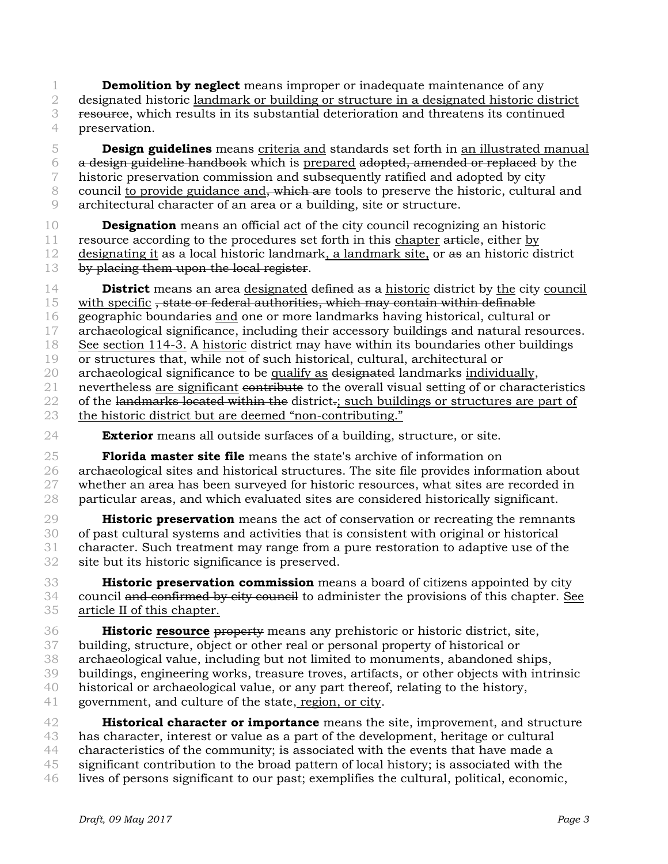**Demolition by neglect** means improper or inadequate maintenance of any designated historic landmark or building or structure in a designated historic district resource, which results in its substantial deterioration and threatens its continued preservation.

 **Design guidelines** means criteria and standards set forth in an illustrated manual a design guideline handbook which is prepared adopted, amended or replaced by the historic preservation commission and subsequently ratified and adopted by city 8 council to provide guidance and, which are tools to preserve the historic, cultural and architectural character of an area or a building, site or structure.

 **Designation** means an official act of the city council recognizing an historic 11 resource according to the procedures set forth in this chapter article, either by designating it as a local historic landmark, a landmark site, or as an historic district 13 by placing them upon the local register.

 **District** means an area designated defined as a historic district by the city council 15 with specific, state or federal authorities, which may contain within definable geographic boundaries and one or more landmarks having historical, cultural or archaeological significance, including their accessory buildings and natural resources. See section 114-3. A historic district may have within its boundaries other buildings or structures that, while not of such historical, cultural, architectural or 20 archaeological significance to be qualify as designated landmarks individually, 21 nevertheless are significant contribute to the overall visual setting of or characteristics 22 of the landmarks located within the district-; such buildings or structures are part of the historic district but are deemed "non-contributing."

**Exterior** means all outside surfaces of a building, structure, or site.

 **Florida master site file** means the state's archive of information on archaeological sites and historical structures. The site file provides information about 27 whether an area has been surveyed for historic resources, what sites are recorded in particular areas, and which evaluated sites are considered historically significant.

 **Historic preservation** means the act of conservation or recreating the remnants of past cultural systems and activities that is consistent with original or historical character. Such treatment may range from a pure restoration to adaptive use of the site but its historic significance is preserved.

 **Historic preservation commission** means a board of citizens appointed by city 34 council and confirmed by city council to administer the provisions of this chapter. See article II of this chapter.

 **Historic resource** property means any prehistoric or historic district, site, building, structure, object or other real or personal property of historical or archaeological value, including but not limited to monuments, abandoned ships, buildings, engineering works, treasure troves, artifacts, or other objects with intrinsic historical or archaeological value, or any part thereof, relating to the history, government, and culture of the state, region, or city. **Historical character or importance** means the site, improvement, and structure

 has character, interest or value as a part of the development, heritage or cultural characteristics of the community; is associated with the events that have made a significant contribution to the broad pattern of local history; is associated with the lives of persons significant to our past; exemplifies the cultural, political, economic,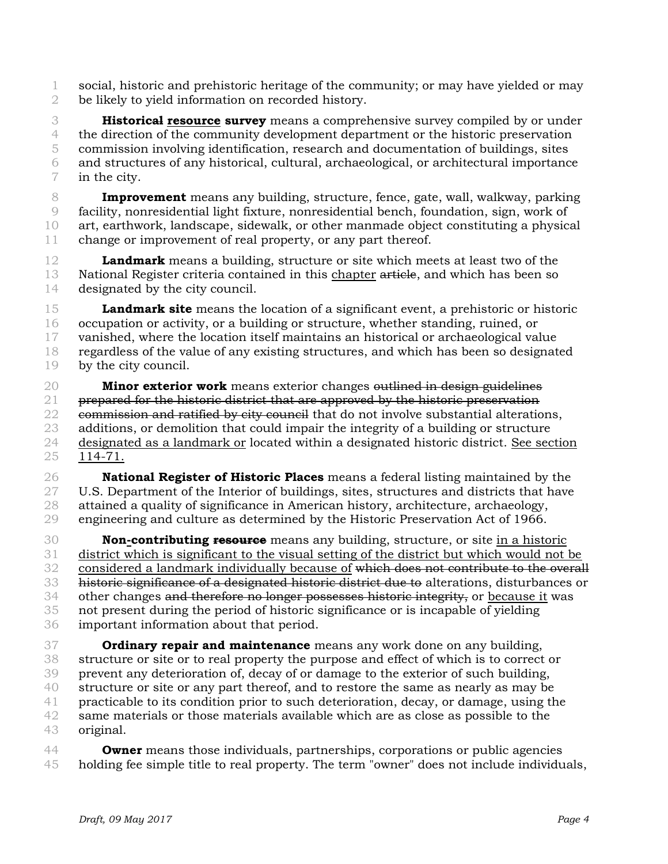social, historic and prehistoric heritage of the community; or may have yielded or may be likely to yield information on recorded history.

 **Historical resource survey** means a comprehensive survey compiled by or under the direction of the community development department or the historic preservation commission involving identification, research and documentation of buildings, sites and structures of any historical, cultural, archaeological, or architectural importance in the city.

 **Improvement** means any building, structure, fence, gate, wall, walkway, parking facility, nonresidential light fixture, nonresidential bench, foundation, sign, work of art, earthwork, landscape, sidewalk, or other manmade object constituting a physical change or improvement of real property, or any part thereof.

 **Landmark** means a building, structure or site which meets at least two of the 13 National Register criteria contained in this chapter article, and which has been so designated by the city council.

 **Landmark site** means the location of a significant event, a prehistoric or historic occupation or activity, or a building or structure, whether standing, ruined, or vanished, where the location itself maintains an historical or archaeological value regardless of the value of any existing structures, and which has been so designated by the city council.

 **Minor exterior work** means exterior changes outlined in design guidelines prepared for the historic district that are approved by the historic preservation 22 commission and ratified by city council that do not involve substantial alterations, additions, or demolition that could impair the integrity of a building or structure 24 designated as a landmark or located within a designated historic district. See section 114-71.

 **National Register of Historic Places** means a federal listing maintained by the 27 U.S. Department of the Interior of buildings, sites, structures and districts that have attained a quality of significance in American history, architecture, archaeology, engineering and culture as determined by the Historic Preservation Act of 1966.

 **Non-contributing resource** means any building, structure, or site in a historic district which is significant to the visual setting of the district but which would not be considered a landmark individually because of which does not contribute to the overall historic significance of a designated historic district due to alterations, disturbances or 34 other changes and therefore no longer possesses historic integrity, or because it was not present during the period of historic significance or is incapable of yielding important information about that period.

 **Ordinary repair and maintenance** means any work done on any building, structure or site or to real property the purpose and effect of which is to correct or prevent any deterioration of, decay of or damage to the exterior of such building, structure or site or any part thereof, and to restore the same as nearly as may be practicable to its condition prior to such deterioration, decay, or damage, using the same materials or those materials available which are as close as possible to the original.

 **Owner** means those individuals, partnerships, corporations or public agencies holding fee simple title to real property. The term "owner" does not include individuals,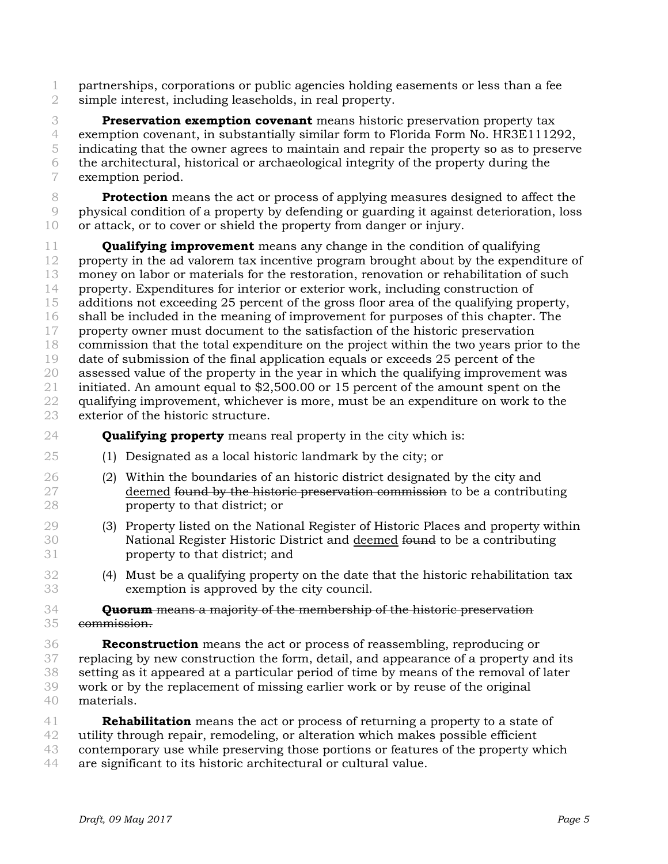partnerships, corporations or public agencies holding easements or less than a fee simple interest, including leaseholds, in real property.

 **Preservation exemption covenant** means historic preservation property tax exemption covenant, in substantially similar form to Florida Form No. HR3E111292, indicating that the owner agrees to maintain and repair the property so as to preserve the architectural, historical or archaeological integrity of the property during the exemption period.

 **Protection** means the act or process of applying measures designed to affect the physical condition of a property by defending or guarding it against deterioration, loss or attack, or to cover or shield the property from danger or injury.

 **Qualifying improvement** means any change in the condition of qualifying property in the ad valorem tax incentive program brought about by the expenditure of money on labor or materials for the restoration, renovation or rehabilitation of such property. Expenditures for interior or exterior work, including construction of additions not exceeding 25 percent of the gross floor area of the qualifying property, shall be included in the meaning of improvement for purposes of this chapter. The property owner must document to the satisfaction of the historic preservation commission that the total expenditure on the project within the two years prior to the date of submission of the final application equals or exceeds 25 percent of the assessed value of the property in the year in which the qualifying improvement was initiated. An amount equal to \$2,500.00 or 15 percent of the amount spent on the qualifying improvement, whichever is more, must be an expenditure on work to the exterior of the historic structure.

**Qualifying property** means real property in the city which is:

- (1) Designated as a local historic landmark by the city; or
- (2) Within the boundaries of an historic district designated by the city and 27 deemed found by the historic preservation commission to be a contributing property to that district; or
- (3) Property listed on the National Register of Historic Places and property within 30 **National Register Historic District and deemed <del>found</del> to be a contributing** property to that district; and
- (4) Must be a qualifying property on the date that the historic rehabilitation tax exemption is approved by the city council.

#### **Quorum** means a majority of the membership of the historic preservation commission.

 **Reconstruction** means the act or process of reassembling, reproducing or replacing by new construction the form, detail, and appearance of a property and its setting as it appeared at a particular period of time by means of the removal of later work or by the replacement of missing earlier work or by reuse of the original materials.

 **Rehabilitation** means the act or process of returning a property to a state of utility through repair, remodeling, or alteration which makes possible efficient contemporary use while preserving those portions or features of the property which

are significant to its historic architectural or cultural value.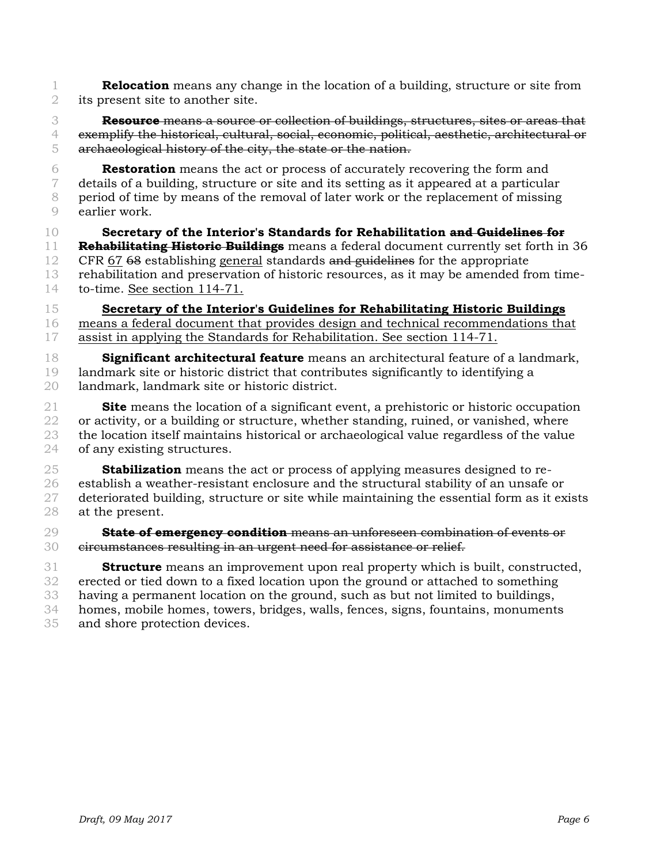**Relocation** means any change in the location of a building, structure or site from its present site to another site.

 **Resource** means a source or collection of buildings, structures, sites or areas that exemplify the historical, cultural, social, economic, political, aesthetic, architectural or archaeological history of the city, the state or the nation.

 **Restoration** means the act or process of accurately recovering the form and details of a building, structure or site and its setting as it appeared at a particular period of time by means of the removal of later work or the replacement of missing earlier work.

**Secretary of the Interior's Standards for Rehabilitation and Guidelines for** 

 **Rehabilitating Historic Buildings** means a federal document currently set forth in 36 CFR 67 68 establishing general standards and guidelines for the appropriate rehabilitation and preservation of historic resources, as it may be amended from time-to-time. See section 114-71.

 **Secretary of the Interior's Guidelines for Rehabilitating Historic Buildings** means a federal document that provides design and technical recommendations that assist in applying the Standards for Rehabilitation. See section 114-71.

 **Significant architectural feature** means an architectural feature of a landmark, landmark site or historic district that contributes significantly to identifying a landmark, landmark site or historic district.

 **Site** means the location of a significant event, a prehistoric or historic occupation 22 or activity, or a building or structure, whether standing, ruined, or vanished, where the location itself maintains historical or archaeological value regardless of the value of any existing structures.

 **Stabilization** means the act or process of applying measures designed to re- establish a weather-resistant enclosure and the structural stability of an unsafe or 27 deteriorated building, structure or site while maintaining the essential form as it exists at the present.

 **State of emergency condition** means an unforeseen combination of events or 30 eircumstances resulting in an urgent need for assistance or relief.

 **Structure** means an improvement upon real property which is built, constructed, erected or tied down to a fixed location upon the ground or attached to something having a permanent location on the ground, such as but not limited to buildings, homes, mobile homes, towers, bridges, walls, fences, signs, fountains, monuments and shore protection devices.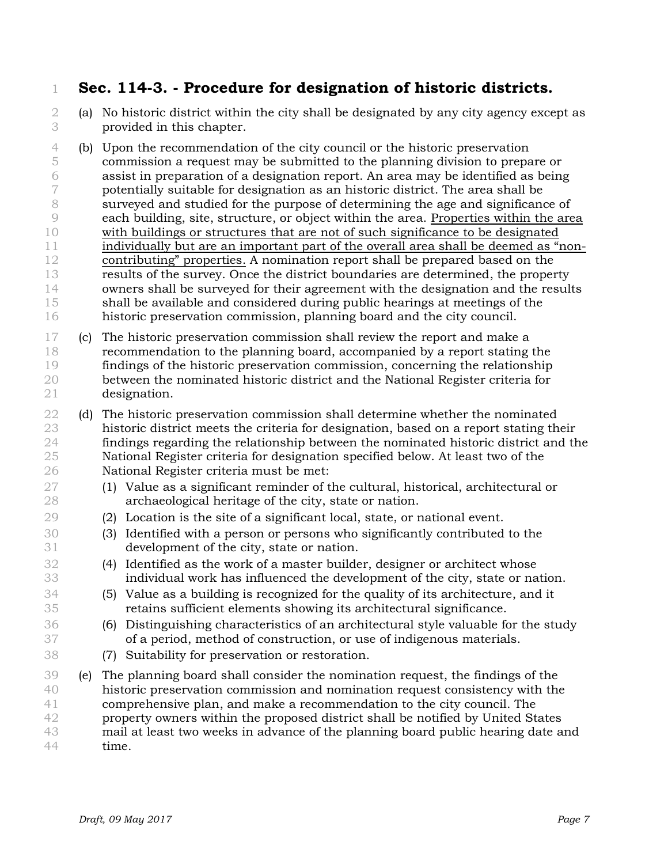### **Sec. 114-3. - Procedure for designation of historic districts.**

- (a) No historic district within the city shall be designated by any city agency except as provided in this chapter.
- (b) Upon the recommendation of the city council or the historic preservation commission a request may be submitted to the planning division to prepare or assist in preparation of a designation report. An area may be identified as being potentially suitable for designation as an historic district. The area shall be surveyed and studied for the purpose of determining the age and significance of each building, site, structure, or object within the area. Properties within the area with buildings or structures that are not of such significance to be designated individually but are an important part of the overall area shall be deemed as "non- contributing" properties. A nomination report shall be prepared based on the results of the survey. Once the district boundaries are determined, the property owners shall be surveyed for their agreement with the designation and the results shall be available and considered during public hearings at meetings of the historic preservation commission, planning board and the city council.
- (c) The historic preservation commission shall review the report and make a recommendation to the planning board, accompanied by a report stating the findings of the historic preservation commission, concerning the relationship between the nominated historic district and the National Register criteria for designation.
- (d) The historic preservation commission shall determine whether the nominated historic district meets the criteria for designation, based on a report stating their findings regarding the relationship between the nominated historic district and the National Register criteria for designation specified below. At least two of the National Register criteria must be met:
- (1) Value as a significant reminder of the cultural, historical, architectural or archaeological heritage of the city, state or nation.
- (2) Location is the site of a significant local, state, or national event.
- (3) Identified with a person or persons who significantly contributed to the development of the city, state or nation.
- (4) Identified as the work of a master builder, designer or architect whose individual work has influenced the development of the city, state or nation.
- (5) Value as a building is recognized for the quality of its architecture, and it retains sufficient elements showing its architectural significance.
- (6) Distinguishing characteristics of an architectural style valuable for the study of a period, method of construction, or use of indigenous materials.
- (7) Suitability for preservation or restoration.
- (e) The planning board shall consider the nomination request, the findings of the historic preservation commission and nomination request consistency with the comprehensive plan, and make a recommendation to the city council. The property owners within the proposed district shall be notified by United States mail at least two weeks in advance of the planning board public hearing date and time.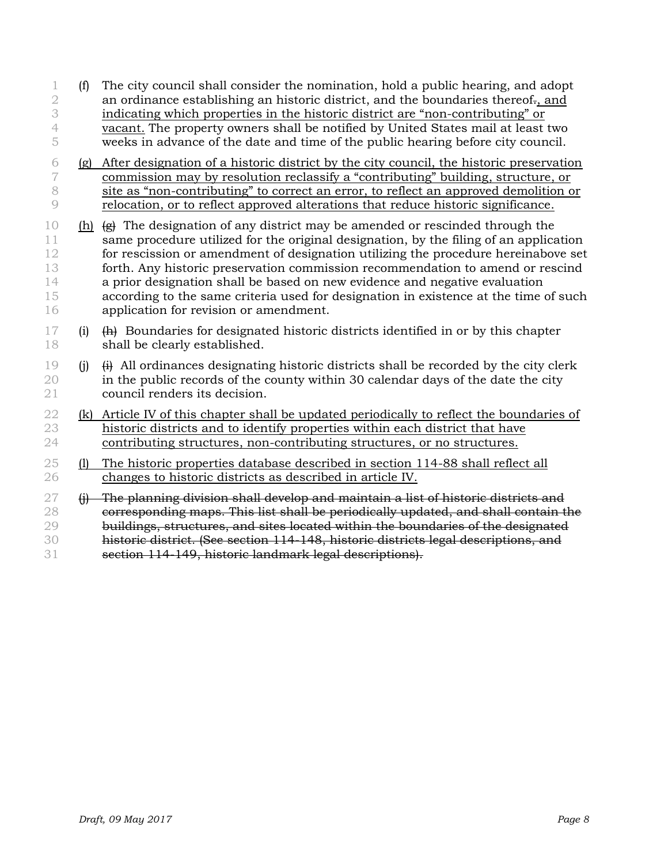- (f) The city council shall consider the nomination, hold a public hearing, and adopt 2 an ordinance establishing an historic district, and the boundaries thereof, and indicating which properties in the historic district are "non-contributing" or vacant. The property owners shall be notified by United States mail at least two weeks in advance of the date and time of the public hearing before city council.
- (g) After designation of a historic district by the city council, the historic preservation commission may by resolution reclassify a "contributing" building, structure, or site as "non-contributing" to correct an error, to reflect an approved demolition or relocation, or to reflect approved alterations that reduce historic significance.
- 10 (h)  $\leftrightarrow$  The designation of any district may be amended or rescinded through the 11 same procedure utilized for the original designation, by the filing of an application for rescission or amendment of designation utilizing the procedure hereinabove set forth. Any historic preservation commission recommendation to amend or rescind a prior designation shall be based on new evidence and negative evaluation according to the same criteria used for designation in existence at the time of such application for revision or amendment.
- (i)  $\overrightarrow{H}$  Boundaries for designated historic districts identified in or by this chapter shall be clearly established.
- 19 (j)  $\leftrightarrow$  All ordinances designating historic districts shall be recorded by the city clerk in the public records of the county within 30 calendar days of the date the city council renders its decision.
- (k) Article IV of this chapter shall be updated periodically to reflect the boundaries of historic districts and to identify properties within each district that have contributing structures, non-contributing structures, or no structures.
- (l) The historic properties database described in section 114-88 shall reflect all changes to historic districts as described in article IV.
- (i) The planning division shall develop and maintain a list of historic districts and 28 corresponding maps. This list shall be periodically updated, and shall contain the 29 buildings, structures, and sites located within the boundaries of the designated historic district. (See section 114-148, historic districts legal descriptions, and section 114-149, historic landmark legal descriptions).

*Draft, 09 May 2017 Page 8*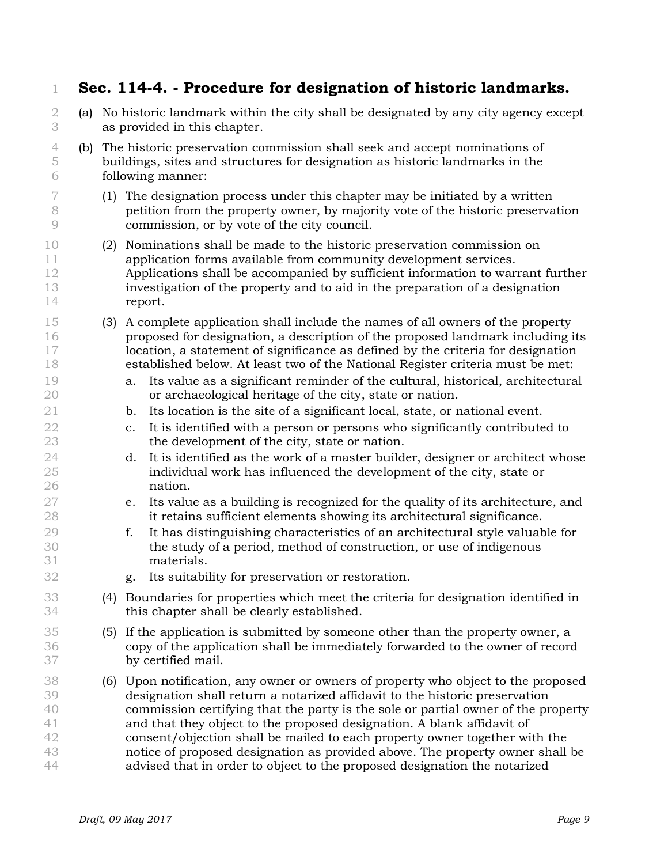|                                        |     |     | Sec. 114-4. - Procedure for designation of historic landmarks.                                                                                                                                                                                                                                                                                                                                                                                                                                                                                                          |  |  |  |
|----------------------------------------|-----|-----|-------------------------------------------------------------------------------------------------------------------------------------------------------------------------------------------------------------------------------------------------------------------------------------------------------------------------------------------------------------------------------------------------------------------------------------------------------------------------------------------------------------------------------------------------------------------------|--|--|--|
| 2<br>3                                 | (a) |     | No historic landmark within the city shall be designated by any city agency except<br>as provided in this chapter.                                                                                                                                                                                                                                                                                                                                                                                                                                                      |  |  |  |
| 4<br>5<br>6                            |     |     | (b) The historic preservation commission shall seek and accept nominations of<br>buildings, sites and structures for designation as historic landmarks in the<br>following manner:                                                                                                                                                                                                                                                                                                                                                                                      |  |  |  |
| 7<br>8<br>9                            |     |     | (1) The designation process under this chapter may be initiated by a written<br>petition from the property owner, by majority vote of the historic preservation<br>commission, or by vote of the city council.                                                                                                                                                                                                                                                                                                                                                          |  |  |  |
| 10<br>11<br>12<br>13<br>14             |     | (2) | Nominations shall be made to the historic preservation commission on<br>application forms available from community development services.<br>Applications shall be accompanied by sufficient information to warrant further<br>investigation of the property and to aid in the preparation of a designation<br>report.                                                                                                                                                                                                                                                   |  |  |  |
| 15<br>16<br>17<br>18                   |     | (3) | A complete application shall include the names of all owners of the property<br>proposed for designation, a description of the proposed landmark including its<br>location, a statement of significance as defined by the criteria for designation<br>established below. At least two of the National Register criteria must be met:                                                                                                                                                                                                                                    |  |  |  |
| 19<br>20                               |     |     | Its value as a significant reminder of the cultural, historical, architectural<br>a.<br>or archaeological heritage of the city, state or nation.                                                                                                                                                                                                                                                                                                                                                                                                                        |  |  |  |
| 21<br>22<br>23                         |     |     | Its location is the site of a significant local, state, or national event.<br>b.<br>It is identified with a person or persons who significantly contributed to<br>$C_{\bullet}$<br>the development of the city, state or nation.                                                                                                                                                                                                                                                                                                                                        |  |  |  |
| 24<br>25<br>26                         |     |     | It is identified as the work of a master builder, designer or architect whose<br>d.<br>individual work has influenced the development of the city, state or<br>nation.                                                                                                                                                                                                                                                                                                                                                                                                  |  |  |  |
| 27<br>28                               |     |     | Its value as a building is recognized for the quality of its architecture, and<br>e.<br>it retains sufficient elements showing its architectural significance.                                                                                                                                                                                                                                                                                                                                                                                                          |  |  |  |
| 29<br>30<br>31                         |     |     | It has distinguishing characteristics of an architectural style valuable for<br>f.<br>the study of a period, method of construction, or use of indigenous<br>materials.                                                                                                                                                                                                                                                                                                                                                                                                 |  |  |  |
| 32                                     |     |     | Its suitability for preservation or restoration.<br>g.                                                                                                                                                                                                                                                                                                                                                                                                                                                                                                                  |  |  |  |
| 33<br>34                               |     | (4) | Boundaries for properties which meet the criteria for designation identified in<br>this chapter shall be clearly established.                                                                                                                                                                                                                                                                                                                                                                                                                                           |  |  |  |
| 35<br>36<br>37                         |     | (5) | If the application is submitted by someone other than the property owner, a<br>copy of the application shall be immediately forwarded to the owner of record<br>by certified mail.                                                                                                                                                                                                                                                                                                                                                                                      |  |  |  |
| 38<br>39<br>40<br>41<br>42<br>43<br>44 |     | (6) | Upon notification, any owner or owners of property who object to the proposed<br>designation shall return a notarized affidavit to the historic preservation<br>commission certifying that the party is the sole or partial owner of the property<br>and that they object to the proposed designation. A blank affidavit of<br>consent/objection shall be mailed to each property owner together with the<br>notice of proposed designation as provided above. The property owner shall be<br>advised that in order to object to the proposed designation the notarized |  |  |  |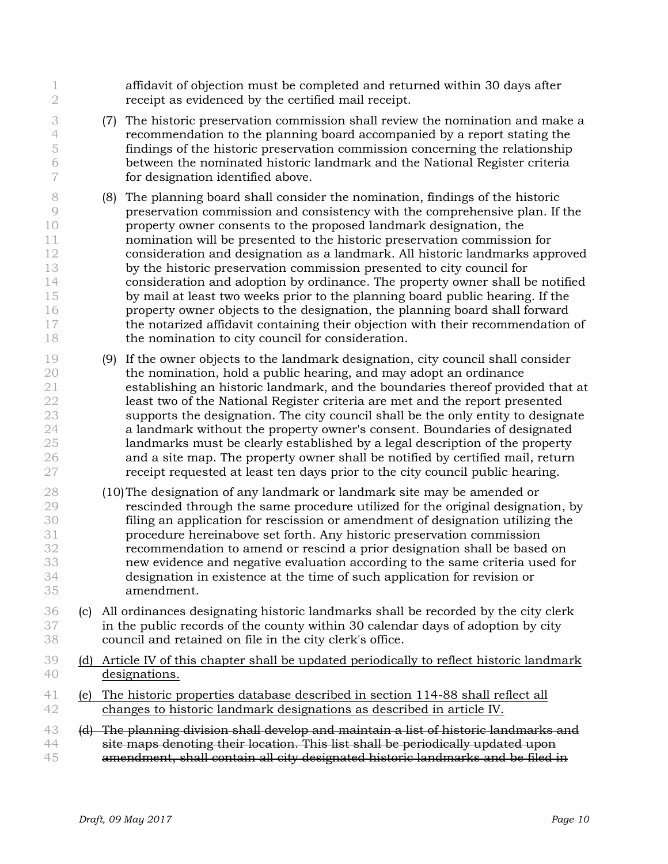| $\mathbf{2}$                                                              |                           | affidavit of objection must be completed and returned within 30 days after<br>receipt as evidenced by the certified mail receipt.                                                                                                                                                                                                                                                                                                                                                                                                                                                                                                                                                                                                                                                                                                                                   |
|---------------------------------------------------------------------------|---------------------------|---------------------------------------------------------------------------------------------------------------------------------------------------------------------------------------------------------------------------------------------------------------------------------------------------------------------------------------------------------------------------------------------------------------------------------------------------------------------------------------------------------------------------------------------------------------------------------------------------------------------------------------------------------------------------------------------------------------------------------------------------------------------------------------------------------------------------------------------------------------------|
| 3<br>$\overline{4}$<br>5<br>6<br>7                                        |                           | The historic preservation commission shall review the nomination and make a<br>(7)<br>recommendation to the planning board accompanied by a report stating the<br>findings of the historic preservation commission concerning the relationship<br>between the nominated historic landmark and the National Register criteria<br>for designation identified above.                                                                                                                                                                                                                                                                                                                                                                                                                                                                                                   |
| 8<br>$\circledcirc$<br>10<br>11<br>12<br>13<br>14<br>15<br>16<br>17<br>18 |                           | The planning board shall consider the nomination, findings of the historic<br>(8)<br>preservation commission and consistency with the comprehensive plan. If the<br>property owner consents to the proposed landmark designation, the<br>nomination will be presented to the historic preservation commission for<br>consideration and designation as a landmark. All historic landmarks approved<br>by the historic preservation commission presented to city council for<br>consideration and adoption by ordinance. The property owner shall be notified<br>by mail at least two weeks prior to the planning board public hearing. If the<br>property owner objects to the designation, the planning board shall forward<br>the notarized affidavit containing their objection with their recommendation of<br>the nomination to city council for consideration. |
| 19<br>20<br>21<br>22<br>23<br>24<br>25<br>26<br>27                        |                           | If the owner objects to the landmark designation, city council shall consider<br>(9)<br>the nomination, hold a public hearing, and may adopt an ordinance<br>establishing an historic landmark, and the boundaries thereof provided that at<br>least two of the National Register criteria are met and the report presented<br>supports the designation. The city council shall be the only entity to designate<br>a landmark without the property owner's consent. Boundaries of designated<br>landmarks must be clearly established by a legal description of the property<br>and a site map. The property owner shall be notified by certified mail, return<br>receipt requested at least ten days prior to the city council public hearing.                                                                                                                     |
| 28<br>29<br>30<br>31<br>32<br>33<br>34<br>35                              |                           | (10) The designation of any landmark or landmark site may be amended or<br>rescinded through the same procedure utilized for the original designation, by<br>filing an application for rescission or amendment of designation utilizing the<br>procedure hereinabove set forth. Any historic preservation commission<br>recommendation to amend or rescind a prior designation shall be based on<br>new evidence and negative evaluation according to the same criteria used for<br>designation in existence at the time of such application for revision or<br>amendment.                                                                                                                                                                                                                                                                                          |
| 36<br>37<br>38                                                            | $\left( \text{c} \right)$ | All ordinances designating historic landmarks shall be recorded by the city clerk<br>in the public records of the county within 30 calendar days of adoption by city<br>council and retained on file in the city clerk's office.                                                                                                                                                                                                                                                                                                                                                                                                                                                                                                                                                                                                                                    |
| 39<br>40                                                                  |                           | (d) Article IV of this chapter shall be updated periodically to reflect historic landmark<br>designations.                                                                                                                                                                                                                                                                                                                                                                                                                                                                                                                                                                                                                                                                                                                                                          |
| 41<br>42                                                                  | (e)                       | The historic properties database described in section 114-88 shall reflect all<br>changes to historic landmark designations as described in article IV.                                                                                                                                                                                                                                                                                                                                                                                                                                                                                                                                                                                                                                                                                                             |
| 43<br>44<br>45                                                            |                           | (d) The planning division shall develop and maintain a list of historic landmarks and<br>site maps denoting their location. This list shall be periodically updated upon<br>amendment, shall contain all city designated historic landmarks and be filed in                                                                                                                                                                                                                                                                                                                                                                                                                                                                                                                                                                                                         |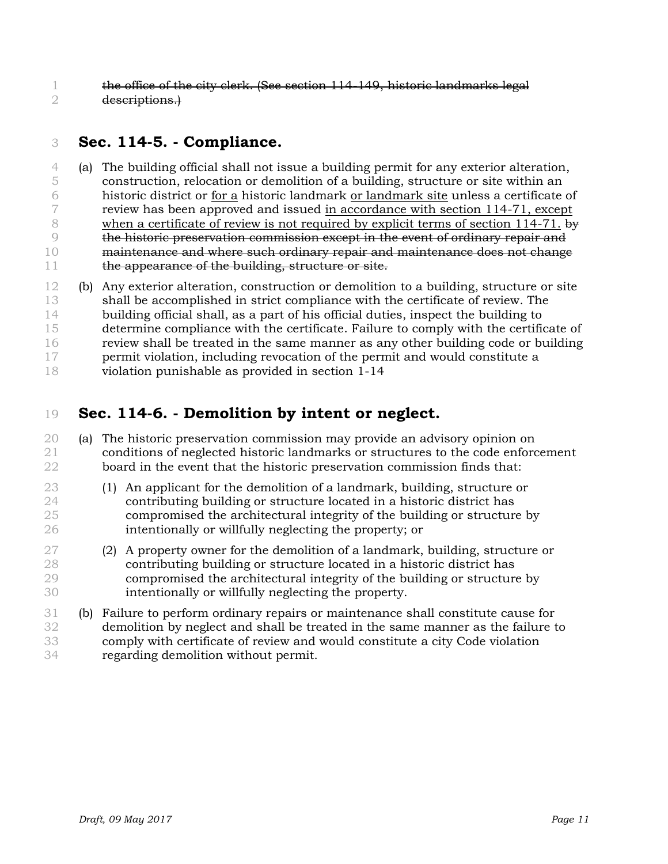the office of the city clerk. (See section 114-149, historic landmarks legal descriptions.)

## **Sec. 114-5. - Compliance.**

 (a) The building official shall not issue a building permit for any exterior alteration, construction, relocation or demolition of a building, structure or site within an historic district or for a historic landmark or landmark site unless a certificate of review has been approved and issued in accordance with section 114-71, except 8 when a certificate of review is not required by explicit terms of section 114-71. by the historic preservation commission except in the event of ordinary repair and 10 maintenance and where such ordinary repair and maintenance does not change 11 the appearance of the building, structure or site.

 (b) Any exterior alteration, construction or demolition to a building, structure or site shall be accomplished in strict compliance with the certificate of review. The building official shall, as a part of his official duties, inspect the building to determine compliance with the certificate. Failure to comply with the certificate of review shall be treated in the same manner as any other building code or building permit violation, including revocation of the permit and would constitute a violation punishable as provided in section 1-14

## **Sec. 114-6. - Demolition by intent or neglect.**

- (a) The historic preservation commission may provide an advisory opinion on conditions of neglected historic landmarks or structures to the code enforcement board in the event that the historic preservation commission finds that:
- (1) An applicant for the demolition of a landmark, building, structure or contributing building or structure located in a historic district has compromised the architectural integrity of the building or structure by intentionally or willfully neglecting the property; or
- (2) A property owner for the demolition of a landmark, building, structure or contributing building or structure located in a historic district has compromised the architectural integrity of the building or structure by intentionally or willfully neglecting the property.
- (b) Failure to perform ordinary repairs or maintenance shall constitute cause for demolition by neglect and shall be treated in the same manner as the failure to comply with certificate of review and would constitute a city Code violation regarding demolition without permit.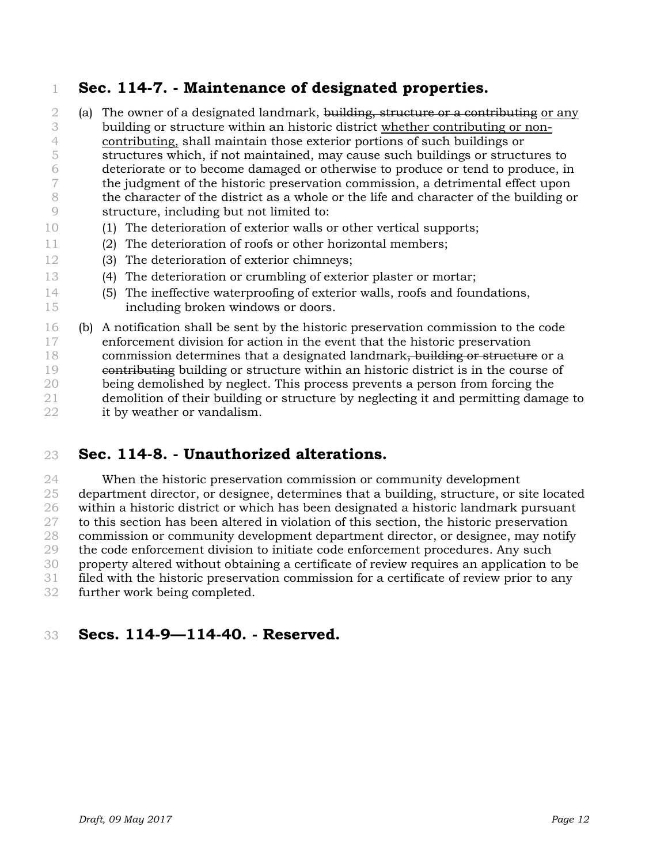## **Sec. 114-7. - Maintenance of designated properties.**

- 2 (a) The owner of a designated landmark, building, structure or a contributing or any building or structure within an historic district whether contributing or non- contributing, shall maintain those exterior portions of such buildings or structures which, if not maintained, may cause such buildings or structures to deteriorate or to become damaged or otherwise to produce or tend to produce, in the judgment of the historic preservation commission, a detrimental effect upon the character of the district as a whole or the life and character of the building or structure, including but not limited to:
- (1) The deterioration of exterior walls or other vertical supports;
- (2) The deterioration of roofs or other horizontal members;
- (3) The deterioration of exterior chimneys;
- (4) The deterioration or crumbling of exterior plaster or mortar;
- (5) The ineffective waterproofing of exterior walls, roofs and foundations, including broken windows or doors.
- (b) A notification shall be sent by the historic preservation commission to the code enforcement division for action in the event that the historic preservation 18 commission determines that a designated landmark, building or structure or a contributing building or structure within an historic district is in the course of being demolished by neglect. This process prevents a person from forcing the demolition of their building or structure by neglecting it and permitting damage to it by weather or vandalism.

### **Sec. 114-8. - Unauthorized alterations.**

 When the historic preservation commission or community development department director, or designee, determines that a building, structure, or site located within a historic district or which has been designated a historic landmark pursuant to this section has been altered in violation of this section, the historic preservation commission or community development department director, or designee, may notify the code enforcement division to initiate code enforcement procedures. Any such property altered without obtaining a certificate of review requires an application to be filed with the historic preservation commission for a certificate of review prior to any further work being completed.

### **Secs. 114-9—114-40. - Reserved.**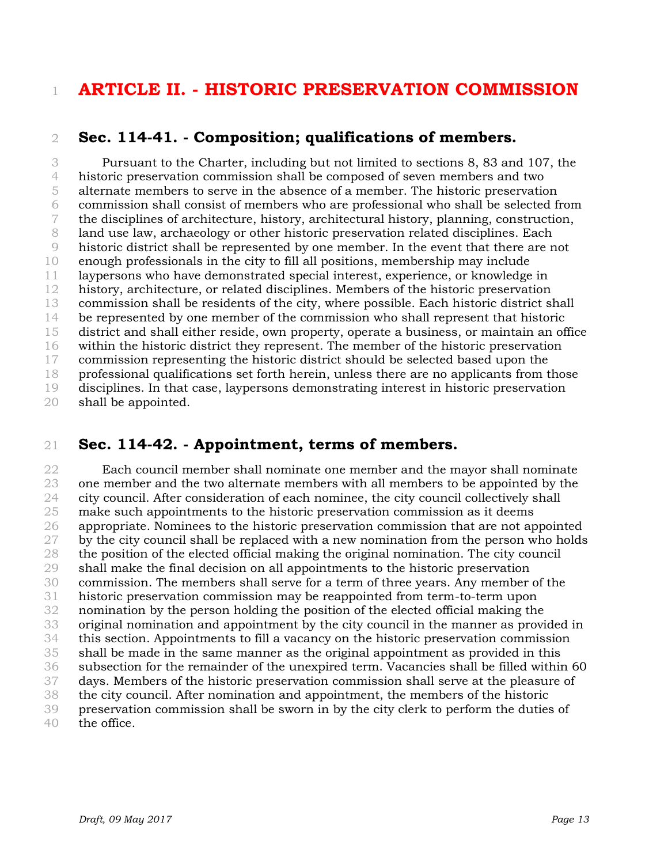## **ARTICLE II. - HISTORIC PRESERVATION COMMISSION**

#### **Sec. 114-41. - Composition; qualifications of members.**

 Pursuant to the Charter, including but not limited to sections 8, 83 and 107, the historic preservation commission shall be composed of seven members and two alternate members to serve in the absence of a member. The historic preservation commission shall consist of members who are professional who shall be selected from the disciplines of architecture, history, architectural history, planning, construction, land use law, archaeology or other historic preservation related disciplines. Each historic district shall be represented by one member. In the event that there are not enough professionals in the city to fill all positions, membership may include laypersons who have demonstrated special interest, experience, or knowledge in history, architecture, or related disciplines. Members of the historic preservation commission shall be residents of the city, where possible. Each historic district shall be represented by one member of the commission who shall represent that historic district and shall either reside, own property, operate a business, or maintain an office within the historic district they represent. The member of the historic preservation commission representing the historic district should be selected based upon the professional qualifications set forth herein, unless there are no applicants from those disciplines. In that case, laypersons demonstrating interest in historic preservation

shall be appointed.

#### **Sec. 114-42. - Appointment, terms of members.**

 Each council member shall nominate one member and the mayor shall nominate one member and the two alternate members with all members to be appointed by the city council. After consideration of each nominee, the city council collectively shall make such appointments to the historic preservation commission as it deems appropriate. Nominees to the historic preservation commission that are not appointed 27 by the city council shall be replaced with a new nomination from the person who holds the position of the elected official making the original nomination. The city council shall make the final decision on all appointments to the historic preservation commission. The members shall serve for a term of three years. Any member of the historic preservation commission may be reappointed from term-to-term upon nomination by the person holding the position of the elected official making the original nomination and appointment by the city council in the manner as provided in this section. Appointments to fill a vacancy on the historic preservation commission shall be made in the same manner as the original appointment as provided in this subsection for the remainder of the unexpired term. Vacancies shall be filled within 60 days. Members of the historic preservation commission shall serve at the pleasure of the city council. After nomination and appointment, the members of the historic preservation commission shall be sworn in by the city clerk to perform the duties of

the office.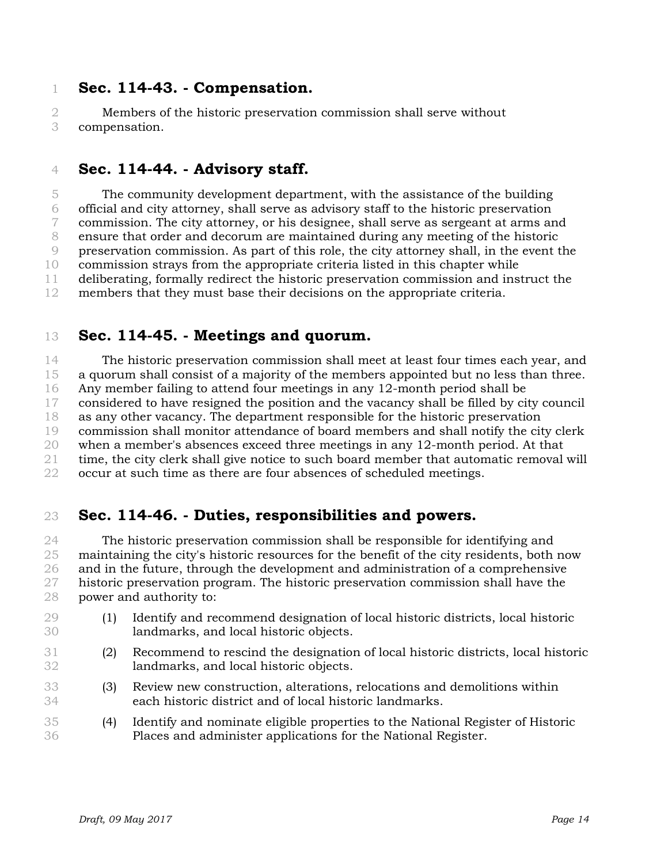#### **Sec. 114-43. - Compensation.**

 Members of the historic preservation commission shall serve without compensation.

#### **Sec. 114-44. - Advisory staff.**

 The community development department, with the assistance of the building official and city attorney, shall serve as advisory staff to the historic preservation commission. The city attorney, or his designee, shall serve as sergeant at arms and ensure that order and decorum are maintained during any meeting of the historic preservation commission. As part of this role, the city attorney shall, in the event the commission strays from the appropriate criteria listed in this chapter while deliberating, formally redirect the historic preservation commission and instruct the members that they must base their decisions on the appropriate criteria.

#### **Sec. 114-45. - Meetings and quorum.**

 The historic preservation commission shall meet at least four times each year, and a quorum shall consist of a majority of the members appointed but no less than three. Any member failing to attend four meetings in any 12-month period shall be considered to have resigned the position and the vacancy shall be filled by city council as any other vacancy. The department responsible for the historic preservation commission shall monitor attendance of board members and shall notify the city clerk when a member's absences exceed three meetings in any 12-month period. At that time, the city clerk shall give notice to such board member that automatic removal will occur at such time as there are four absences of scheduled meetings.

#### **Sec. 114-46. - Duties, responsibilities and powers.**

 The historic preservation commission shall be responsible for identifying and maintaining the city's historic resources for the benefit of the city residents, both now and in the future, through the development and administration of a comprehensive historic preservation program. The historic preservation commission shall have the power and authority to:

- (1) Identify and recommend designation of local historic districts, local historic landmarks, and local historic objects.
- (2) Recommend to rescind the designation of local historic districts, local historic landmarks, and local historic objects.
- (3) Review new construction, alterations, relocations and demolitions within each historic district and of local historic landmarks.
- (4) Identify and nominate eligible properties to the National Register of Historic Places and administer applications for the National Register.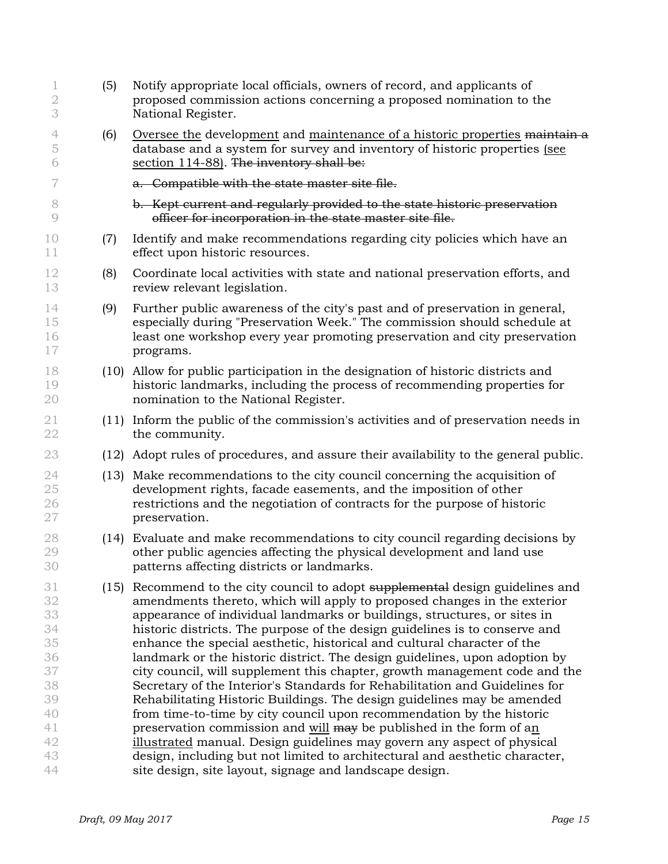| $\mathbf 1$<br>$\mathbf 2$<br>3                                                  | (5)  | Notify appropriate local officials, owners of record, and applicants of<br>proposed commission actions concerning a proposed nomination to the<br>National Register.                                                                                                                                                                                                                                                                                                                                                                                                                                                                                                                                                                                                                                                                                                                                                                                                                                                                                                                        |
|----------------------------------------------------------------------------------|------|---------------------------------------------------------------------------------------------------------------------------------------------------------------------------------------------------------------------------------------------------------------------------------------------------------------------------------------------------------------------------------------------------------------------------------------------------------------------------------------------------------------------------------------------------------------------------------------------------------------------------------------------------------------------------------------------------------------------------------------------------------------------------------------------------------------------------------------------------------------------------------------------------------------------------------------------------------------------------------------------------------------------------------------------------------------------------------------------|
| 4<br>5<br>6                                                                      | (6)  | Oversee the development and maintenance of a historic properties maintain a<br>database and a system for survey and inventory of historic properties (see<br>section 114-88). The inventory shall be:                                                                                                                                                                                                                                                                                                                                                                                                                                                                                                                                                                                                                                                                                                                                                                                                                                                                                       |
| 7                                                                                |      | a. Compatible with the state master site file.                                                                                                                                                                                                                                                                                                                                                                                                                                                                                                                                                                                                                                                                                                                                                                                                                                                                                                                                                                                                                                              |
| 8<br>$\overline{9}$                                                              |      | b. Kept current and regularly provided to the state historic preservation<br>officer for incorporation in the state master site file.                                                                                                                                                                                                                                                                                                                                                                                                                                                                                                                                                                                                                                                                                                                                                                                                                                                                                                                                                       |
| 10<br>11                                                                         | (7)  | Identify and make recommendations regarding city policies which have an<br>effect upon historic resources.                                                                                                                                                                                                                                                                                                                                                                                                                                                                                                                                                                                                                                                                                                                                                                                                                                                                                                                                                                                  |
| 12<br>13                                                                         | (8)  | Coordinate local activities with state and national preservation efforts, and<br>review relevant legislation.                                                                                                                                                                                                                                                                                                                                                                                                                                                                                                                                                                                                                                                                                                                                                                                                                                                                                                                                                                               |
| 14<br>15<br>16<br>17                                                             | (9)  | Further public awareness of the city's past and of preservation in general,<br>especially during "Preservation Week." The commission should schedule at<br>least one workshop every year promoting preservation and city preservation<br>programs.                                                                                                                                                                                                                                                                                                                                                                                                                                                                                                                                                                                                                                                                                                                                                                                                                                          |
| 18<br>19<br>20                                                                   |      | (10) Allow for public participation in the designation of historic districts and<br>historic landmarks, including the process of recommending properties for<br>nomination to the National Register.                                                                                                                                                                                                                                                                                                                                                                                                                                                                                                                                                                                                                                                                                                                                                                                                                                                                                        |
| 21<br>22                                                                         |      | (11) Inform the public of the commission's activities and of preservation needs in<br>the community.                                                                                                                                                                                                                                                                                                                                                                                                                                                                                                                                                                                                                                                                                                                                                                                                                                                                                                                                                                                        |
| 23                                                                               |      | (12) Adopt rules of procedures, and assure their availability to the general public.                                                                                                                                                                                                                                                                                                                                                                                                                                                                                                                                                                                                                                                                                                                                                                                                                                                                                                                                                                                                        |
| 24<br>25<br>26<br>$27\,$                                                         | (13) | Make recommendations to the city council concerning the acquisition of<br>development rights, facade easements, and the imposition of other<br>restrictions and the negotiation of contracts for the purpose of historic<br>preservation.                                                                                                                                                                                                                                                                                                                                                                                                                                                                                                                                                                                                                                                                                                                                                                                                                                                   |
| 28<br>29<br>30                                                                   |      | (14) Evaluate and make recommendations to city council regarding decisions by<br>other public agencies affecting the physical development and land use<br>patterns affecting districts or landmarks                                                                                                                                                                                                                                                                                                                                                                                                                                                                                                                                                                                                                                                                                                                                                                                                                                                                                         |
| 31<br>32<br>33<br>34<br>35<br>36<br>37<br>38<br>39<br>40<br>41<br>42<br>43<br>44 |      | (15) Recommend to the city council to adopt supplemental design guidelines and<br>amendments thereto, which will apply to proposed changes in the exterior<br>appearance of individual landmarks or buildings, structures, or sites in<br>historic districts. The purpose of the design guidelines is to conserve and<br>enhance the special aesthetic, historical and cultural character of the<br>landmark or the historic district. The design guidelines, upon adoption by<br>city council, will supplement this chapter, growth management code and the<br>Secretary of the Interior's Standards for Rehabilitation and Guidelines for<br>Rehabilitating Historic Buildings. The design guidelines may be amended<br>from time-to-time by city council upon recommendation by the historic<br>preservation commission and will may be published in the form of an<br>illustrated manual. Design guidelines may govern any aspect of physical<br>design, including but not limited to architectural and aesthetic character,<br>site design, site layout, signage and landscape design. |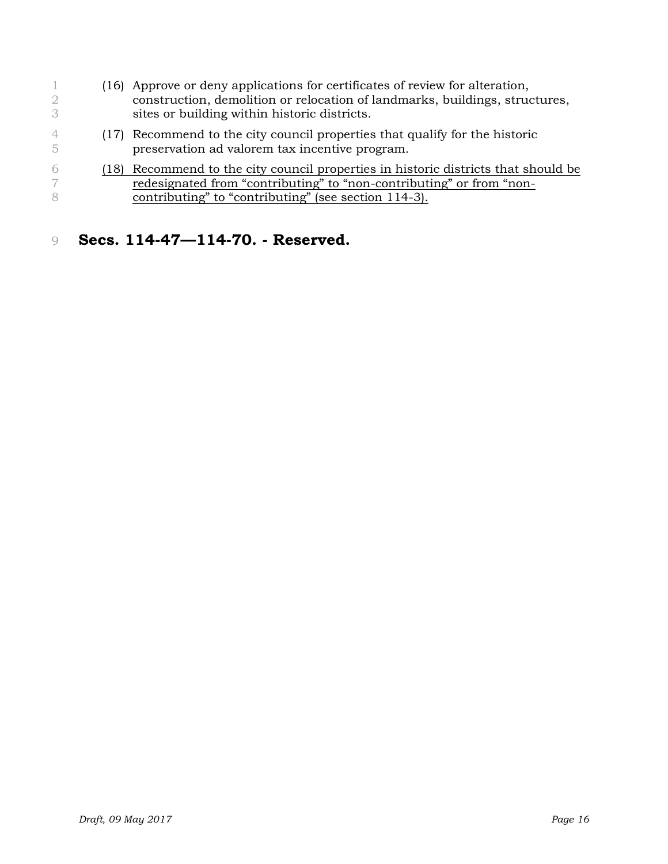(16) Approve or deny applications for certificates of review for alteration, construction, demolition or relocation of landmarks, buildings, structures, sites or building within historic districts. (17) Recommend to the city council properties that qualify for the historic preservation ad valorem tax incentive program. (18) Recommend to the city council properties in historic districts that should be redesignated from "contributing" to "non-contributing" or from "non-**contributing** to "contributing" (see section 114-3).

### **Secs. 114-47—114-70. - Reserved.**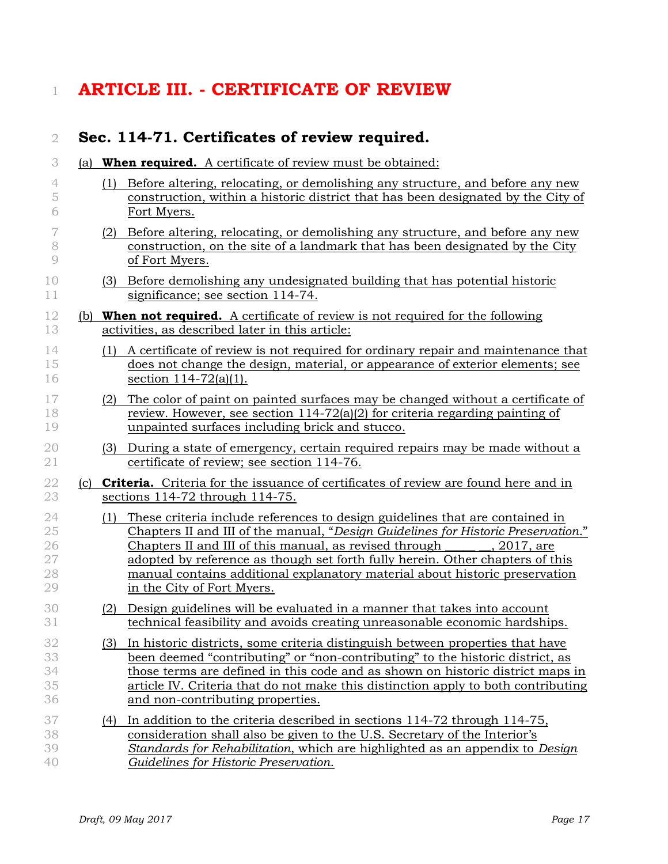# **ARTICLE III. - CERTIFICATE OF REVIEW**

|     |     | Sec. 114-71. Certificates of review required.                                                                                                                                                                                                                                                                                                                                                                                            |
|-----|-----|------------------------------------------------------------------------------------------------------------------------------------------------------------------------------------------------------------------------------------------------------------------------------------------------------------------------------------------------------------------------------------------------------------------------------------------|
| (a) |     | <b>When required.</b> A certificate of review must be obtained:                                                                                                                                                                                                                                                                                                                                                                          |
|     | (1) | Before altering, relocating, or demolishing any structure, and before any new<br>construction, within a historic district that has been designated by the City of<br>Fort Myers.                                                                                                                                                                                                                                                         |
|     |     | (2) Before altering, relocating, or demolishing any structure, and before any new<br>construction, on the site of a landmark that has been designated by the City<br>of Fort Myers.                                                                                                                                                                                                                                                      |
|     |     | (3) Before demolishing any undesignated building that has potential historic<br>significance; see section 114-74.                                                                                                                                                                                                                                                                                                                        |
|     |     | (b) <b>When not required.</b> A certificate of review is not required for the following<br>activities, as described later in this article:                                                                                                                                                                                                                                                                                               |
|     | (1) | A certificate of review is not required for ordinary repair and maintenance that<br>does not change the design, material, or appearance of exterior elements; see<br>section $114-72(a)(1)$ .                                                                                                                                                                                                                                            |
|     | (2) | The color of paint on painted surfaces may be changed without a certificate of<br>review. However, see section $114-72(a)(2)$ for criteria regarding painting of<br>unpainted surfaces including brick and stucco.                                                                                                                                                                                                                       |
|     |     | (3) During a state of emergency, certain required repairs may be made without a<br>certificate of review; see section 114-76.                                                                                                                                                                                                                                                                                                            |
| (c) |     | <b>Criteria.</b> Criteria for the issuance of certificates of review are found here and in<br>sections $114-72$ through $114-75$ .                                                                                                                                                                                                                                                                                                       |
|     | (1) | These criteria include references to design guidelines that are contained in<br>Chapters II and III of the manual, "Design Guidelines for Historic Preservation."<br>Chapters II and III of this manual, as revised through<br>, 2017, are<br>adopted by reference as though set forth fully herein. Other chapters of this<br>manual contains additional explanatory material about historic preservation<br>in the City of Fort Myers. |
|     | (2) | Design guidelines will be evaluated in a manner that takes into account<br>technical feasibility and avoids creating unreasonable economic hardships.                                                                                                                                                                                                                                                                                    |
|     | (3) | In historic districts, some criteria distinguish between properties that have<br>been deemed "contributing" or "non-contributing" to the historic district, as<br>those terms are defined in this code and as shown on historic district maps in<br>article IV. Criteria that do not make this distinction apply to both contributing<br>and non-contributing properties.                                                                |
|     | (4) | In addition to the criteria described in sections 114-72 through 114-75,<br>consideration shall also be given to the U.S. Secretary of the Interior's<br>Standards for Rehabilitation, which are highlighted as an appendix to Design<br>Guidelines for Historic Preservation.                                                                                                                                                           |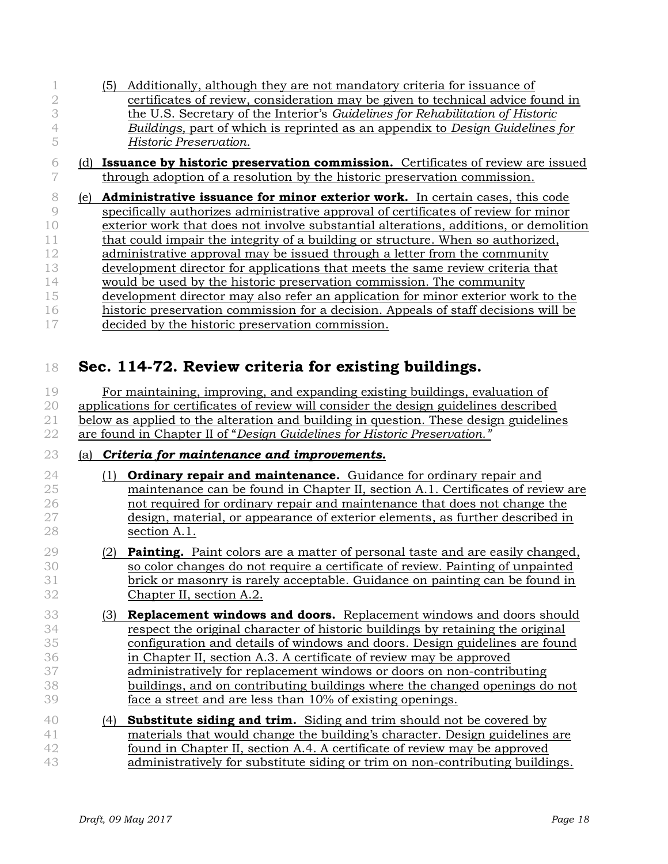|    |     | Additionally, although they are not mandatory criteria for issuance of<br>(5)         |
|----|-----|---------------------------------------------------------------------------------------|
|    |     | certificates of review, consideration may be given to technical advice found in       |
|    |     | the U.S. Secretary of the Interior's Guidelines for Rehabilitation of Historic        |
|    |     | Buildings, part of which is reprinted as an appendix to Design Guidelines for         |
|    |     | Historic Preservation.                                                                |
|    |     | (d) Issuance by historic preservation commission. Certificates of review are issued   |
|    |     | through adoption of a resolution by the historic preservation commission.             |
| 8  | le) | Administrative issuance for minor exterior work. In certain cases, this code          |
|    |     | specifically authorizes administrative approval of certificates of review for minor   |
| 10 |     | exterior work that does not involve substantial alterations, additions, or demolition |
| 11 |     | that could impair the integrity of a building or structure. When so authorized,       |
| 12 |     | administrative approval may be issued through a letter from the community             |
| 13 |     | development director for applications that meets the same review criteria that        |
| 14 |     | would be used by the historic preservation commission. The community                  |
| 15 |     | development director may also refer an application for minor exterior work to the     |
| 16 |     | historic preservation commission for a decision. Appeals of staff decisions will be   |
|    |     | decided by the historic preservation commission.                                      |
|    |     |                                                                                       |

## **Sec. 114-72. Review criteria for existing buildings.**

| 19 | For maintaining, improving, and expanding existing buildings, evaluation of           |
|----|---------------------------------------------------------------------------------------|
| 20 | applications for certificates of review will consider the design guidelines described |
|    | below as applied to the alteration and building in question. These design guidelines  |
|    | are found in Chapter II of "Design Guidelines for Historic Preservation."             |

#### (a) *Criteria for maintenance and improvements.*

- (1) **Ordinary repair and maintenance.** Guidance for ordinary repair and maintenance can be found in Chapter II, section A.1. Certificates of review are not required for ordinary repair and maintenance that does not change the design, material, or appearance of exterior elements, as further described in section A.1.
- (2) **Painting.** Paint colors are a matter of personal taste and are easily changed, so color changes do not require a certificate of review. Painting of unpainted brick or masonry is rarely acceptable. Guidance on painting can be found in Chapter II, section A.2.
- (3) **Replacement windows and doors.** Replacement windows and doors should respect the original character of historic buildings by retaining the original configuration and details of windows and doors. Design guidelines are found in Chapter II, section A.3. A certificate of review may be approved administratively for replacement windows or doors on non-contributing 38 buildings, and on contributing buildings where the changed openings do not face a street and are less than 10% of existing openings.
- (4) **Substitute siding and trim.** Siding and trim should not be covered by materials that would change the building's character. Design guidelines are **found in Chapter II, section A.4. A certificate of review may be approved** administratively for substitute siding or trim on non-contributing buildings.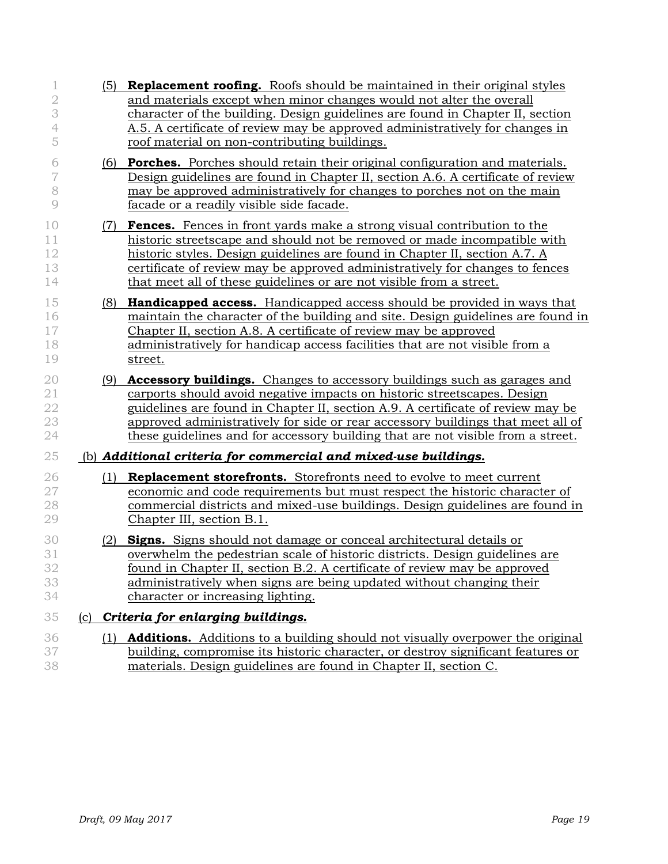|                                     |     | <b>Replacement roofing.</b> Roofs should be maintained in their original styles<br>(5)                                                                                                                                                                                                                                                                                                                                    |  |  |  |  |  |  |
|-------------------------------------|-----|---------------------------------------------------------------------------------------------------------------------------------------------------------------------------------------------------------------------------------------------------------------------------------------------------------------------------------------------------------------------------------------------------------------------------|--|--|--|--|--|--|
| $\mathbf{2}$<br>3<br>$\overline{4}$ |     | and materials except when minor changes would not alter the overall<br>character of the building. Design guidelines are found in Chapter II, section<br>A.5. A certificate of review may be approved administratively for changes in                                                                                                                                                                                      |  |  |  |  |  |  |
| 5                                   |     | roof material on non-contributing buildings.                                                                                                                                                                                                                                                                                                                                                                              |  |  |  |  |  |  |
| 6<br>7<br>8<br>$\mathcal{Q}$        | (6) | <b>Porches.</b> Porches should retain their original configuration and materials.<br>Design guidelines are found in Chapter II, section A.6. A certificate of review<br>may be approved administratively for changes to porches not on the main<br>facade or a readily visible side facade.                                                                                                                               |  |  |  |  |  |  |
| 10<br>11<br>12<br>13<br>14          |     | Fences. Fences in front yards make a strong visual contribution to the<br>(7)<br>historic streetscape and should not be removed or made incompatible with<br>historic styles. Design guidelines are found in Chapter II, section A.7. A<br>certificate of review may be approved administratively for changes to fences<br>that meet all of these guidelines or are not visible from a street.                            |  |  |  |  |  |  |
| 15<br>16<br>17<br>18<br>19          |     | <b>Handicapped access.</b> Handicapped access should be provided in ways that<br>(8)<br>maintain the character of the building and site. Design guidelines are found in<br>Chapter II, section A.8. A certificate of review may be approved<br>administratively for handicap access facilities that are not visible from a<br>street.                                                                                     |  |  |  |  |  |  |
| 20<br>21<br>22<br>23<br>24          |     | <b>Accessory buildings.</b> Changes to accessory buildings such as garages and<br>(9)<br>carports should avoid negative impacts on historic streetscapes. Design<br>guidelines are found in Chapter II, section A.9. A certificate of review may be<br>approved administratively for side or rear accessory buildings that meet all of<br>these guidelines and for accessory building that are not visible from a street. |  |  |  |  |  |  |
| 25                                  |     | (b) Additional criteria for commercial and mixed-use buildings.                                                                                                                                                                                                                                                                                                                                                           |  |  |  |  |  |  |
| 26<br>27<br>28<br>29                |     | <b>Replacement storefronts.</b> Storefronts need to evolve to meet current<br>(1)<br>economic and code requirements but must respect the historic character of<br>commercial districts and mixed-use buildings. Design guidelines are found in<br>Chapter III, section B.1.                                                                                                                                               |  |  |  |  |  |  |
| 30<br>31<br>32<br>33<br>34          | (2) | <b>Signs.</b> Signs should not damage or conceal architectural details or<br>overwhelm the pedestrian scale of historic districts. Design guidelines are<br>found in Chapter II, section B.2. A certificate of review may be approved<br>administratively when signs are being updated without changing their<br>character or increasing lighting.                                                                        |  |  |  |  |  |  |
| 35                                  | (c) | Criteria for enlarging buildings.                                                                                                                                                                                                                                                                                                                                                                                         |  |  |  |  |  |  |
| 36<br>37<br>38                      |     | <b>Additions.</b> Additions to a building should not visually overpower the original<br>(1)<br>building, compromise its historic character, or destroy significant features or<br>materials. Design guidelines are found in Chapter II, section C.                                                                                                                                                                        |  |  |  |  |  |  |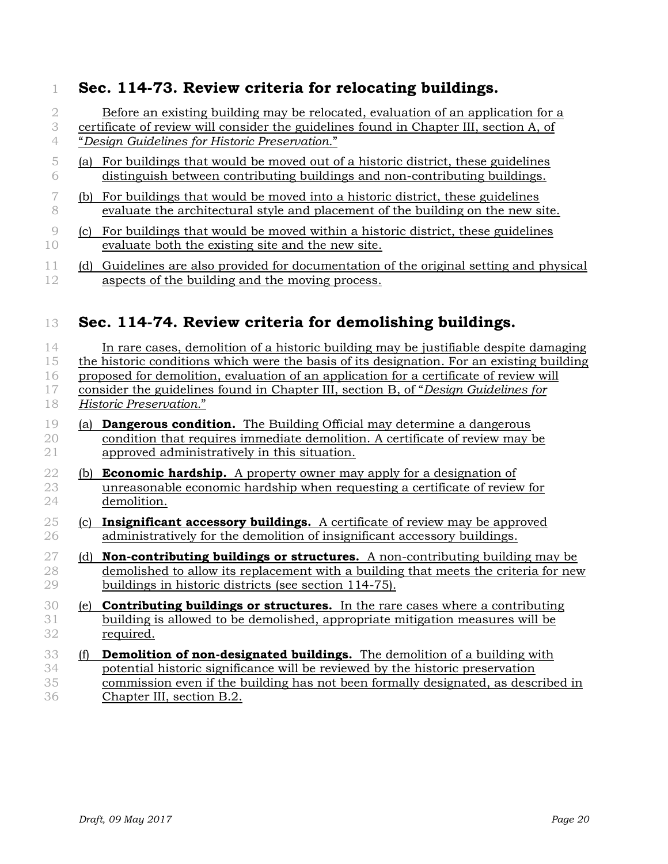## **Sec. 114-73. Review criteria for relocating buildings.**

 Before an existing building may be relocated, evaluation of an application for a certificate of review will consider the guidelines found in Chapter III, section A, of "*Design Guidelines for Historic Preservation.*"

- (a) For buildings that would be moved out of a historic district, these guidelines distinguish between contributing buildings and non-contributing buildings.
- (b) For buildings that would be moved into a historic district, these guidelines evaluate the architectural style and placement of the building on the new site.
- (c) For buildings that would be moved within a historic district, these guidelines evaluate both the existing site and the new site.
- (d) Guidelines are also provided for documentation of the original setting and physical aspects of the building and the moving process.

## **Sec. 114-74. Review criteria for demolishing buildings.**

| 14<br>15<br>16<br>17<br>18 |     | In rare cases, demolition of a historic building may be justifiable despite damaging<br>the historic conditions which were the basis of its designation. For an existing building<br>proposed for demolition, evaluation of an application for a certificate of review will<br>consider the guidelines found in Chapter III, section B, of "Design Guidelines for<br>Historic Preservation." |
|----------------------------|-----|----------------------------------------------------------------------------------------------------------------------------------------------------------------------------------------------------------------------------------------------------------------------------------------------------------------------------------------------------------------------------------------------|
| 19<br>20<br>21             | (a) | <b>Dangerous condition.</b> The Building Official may determine a dangerous<br>condition that requires immediate demolition. A certificate of review may be<br>approved administratively in this situation.                                                                                                                                                                                  |
| $2\sqrt{2}$<br>23<br>24    | (b) | <b>Economic hardship.</b> A property owner may apply for a designation of<br>unreasonable economic hardship when requesting a certificate of review for<br>demolition.                                                                                                                                                                                                                       |
| $25\,$<br>26               | (c) | <b>Insignificant accessory buildings.</b> A certificate of review may be approved<br>administratively for the demolition of insignificant accessory buildings.                                                                                                                                                                                                                               |
| $27\,$<br>28<br>29         | (d) | <b>Non-contributing buildings or structures.</b> A non-contributing building may be<br>demolished to allow its replacement with a building that meets the criteria for new<br>buildings in historic districts (see section 114-75).                                                                                                                                                          |
| 30<br>31<br>32             |     | (e) <b>Contributing buildings or structures.</b> In the rare cases where a contributing<br>building is allowed to be demolished, appropriate mitigation measures will be<br>required.                                                                                                                                                                                                        |
| 33<br>34<br>35<br>36       | (f) | <b>Demolition of non-designated buildings.</b> The demolition of a building with<br>potential historic significance will be reviewed by the historic preservation<br>commission even if the building has not been formally designated, as described in<br>Chapter III, section B.2.                                                                                                          |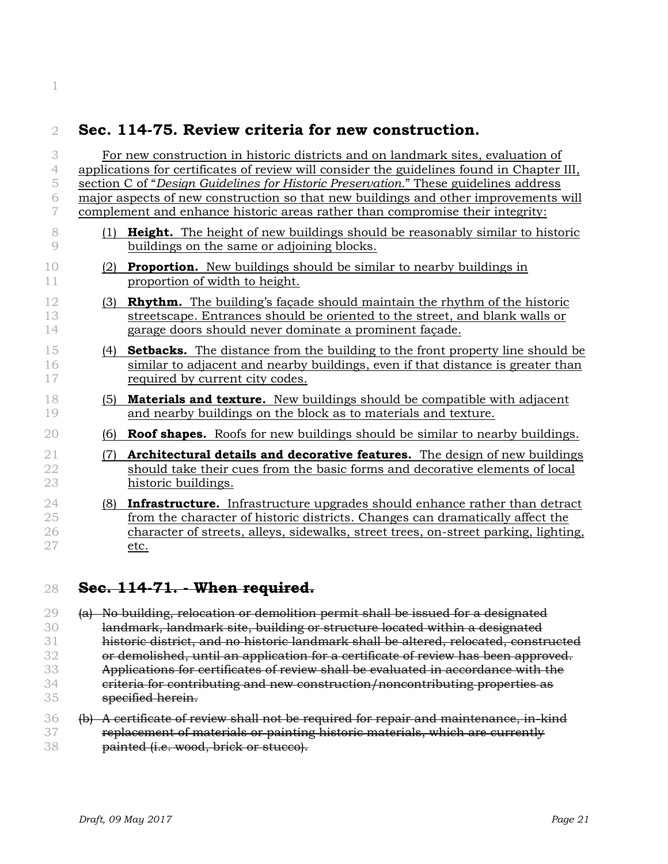## **Sec. 114-75. Review criteria for new construction.**

| 3           |                                                                                      | For new construction in historic districts and on landmark sites, evaluation of                                                                                |  |  |  |  |
|-------------|--------------------------------------------------------------------------------------|----------------------------------------------------------------------------------------------------------------------------------------------------------------|--|--|--|--|
| 4           |                                                                                      | applications for certificates of review will consider the guidelines found in Chapter III,                                                                     |  |  |  |  |
| 5           | section C of "Design Guidelines for Historic Preservation." These guidelines address |                                                                                                                                                                |  |  |  |  |
| 6           | major aspects of new construction so that new buildings and other improvements will  |                                                                                                                                                                |  |  |  |  |
| 7           |                                                                                      | complement and enhance historic areas rather than compromise their integrity:                                                                                  |  |  |  |  |
| 8           | (1)                                                                                  | <b>Height.</b> The height of new buildings should be reasonably similar to historic                                                                            |  |  |  |  |
| 9           |                                                                                      | buildings on the same or adjoining blocks.                                                                                                                     |  |  |  |  |
| 10          | (2)                                                                                  | <b>Proportion.</b> New buildings should be similar to nearby buildings in                                                                                      |  |  |  |  |
| 11          |                                                                                      | proportion of width to height.                                                                                                                                 |  |  |  |  |
|             |                                                                                      |                                                                                                                                                                |  |  |  |  |
| 12<br>13    | (3)                                                                                  | <b>Rhythm.</b> The building's facade should maintain the rhythm of the historic<br>streetscape. Entrances should be oriented to the street, and blank walls or |  |  |  |  |
| 14          |                                                                                      | garage doors should never dominate a prominent façade.                                                                                                         |  |  |  |  |
|             |                                                                                      |                                                                                                                                                                |  |  |  |  |
| 15          | (4)                                                                                  | <b>Setbacks.</b> The distance from the building to the front property line should be                                                                           |  |  |  |  |
| 16          |                                                                                      | similar to adjacent and nearby buildings, even if that distance is greater than                                                                                |  |  |  |  |
| $17\,$      |                                                                                      | required by current city codes.                                                                                                                                |  |  |  |  |
| 18          | (5)                                                                                  | <b>Materials and texture.</b> New buildings should be compatible with adjacent                                                                                 |  |  |  |  |
| 19          |                                                                                      | and nearby buildings on the block as to materials and texture.                                                                                                 |  |  |  |  |
| 20          | (6)                                                                                  | <b>Roof shapes.</b> Roofs for new buildings should be similar to nearby buildings.                                                                             |  |  |  |  |
| $\sqrt{21}$ | (7)                                                                                  | Architectural details and decorative features. The design of new buildings                                                                                     |  |  |  |  |
| 22          |                                                                                      | should take their cues from the basic forms and decorative elements of local                                                                                   |  |  |  |  |
| 23          |                                                                                      | historic buildings.                                                                                                                                            |  |  |  |  |
| 24          | (8)                                                                                  | <b>Infrastructure.</b> Infrastructure upgrades should enhance rather than detract                                                                              |  |  |  |  |
| 25          |                                                                                      | from the character of historic districts. Changes can dramatically affect the                                                                                  |  |  |  |  |
| 26          |                                                                                      | character of streets, alleys, sidewalks, street trees, on-street parking, lighting,                                                                            |  |  |  |  |
| 27          |                                                                                      | etc.                                                                                                                                                           |  |  |  |  |

**Sec. 114-71. - When required.** 

29 (a) No building, relocation or demolition permit shall be issued for a designated landmark, landmark site, building or structure located within a designated historic district, and no historic landmark shall be altered, relocated, constructed 32 or demolished, until an application for a certificate of review has been approved. 33 Applications for certificates of review shall be evaluated in accordance with the 34 criteria for contributing and new construction/noncontributing properties as specified herein.

 (b) A certificate of review shall not be required for repair and maintenance, in-kind 37 replacement of materials or painting historic materials, which are currently **painted (i.e. wood, brick or stucco).**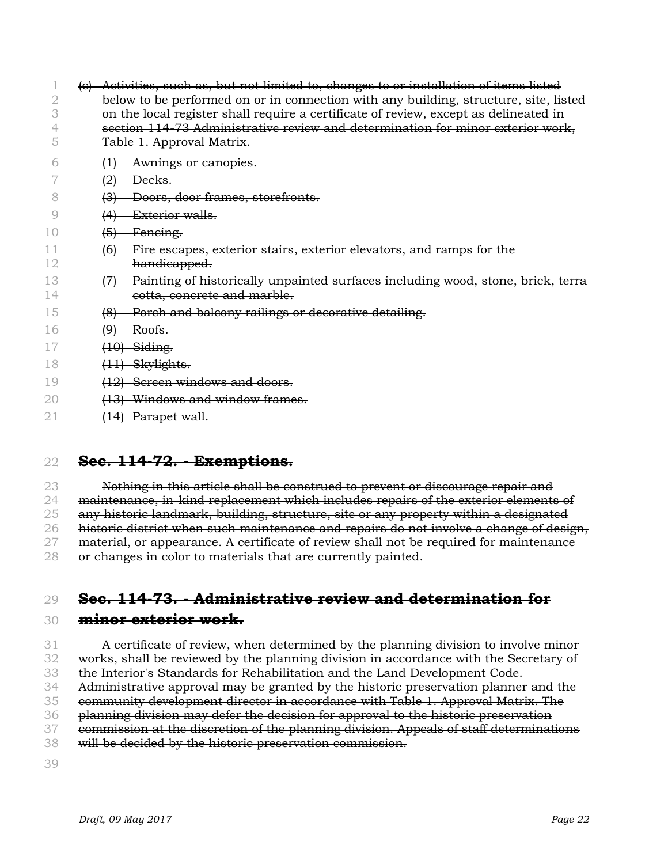|    |                   | Activities, such as, but not limited to, changes to or installation of items listed  |  |  |  |  |  |
|----|-------------------|--------------------------------------------------------------------------------------|--|--|--|--|--|
|    |                   | below to be performed on or in connection with any building, structure, site, listed |  |  |  |  |  |
|    |                   | on the local register shall require a certificate of review, except as delineated in |  |  |  |  |  |
|    |                   | section 114-73 Administrative review and determination for minor exterior work,      |  |  |  |  |  |
|    |                   | Table 1. Approval Matrix.                                                            |  |  |  |  |  |
|    | $\leftrightarrow$ | Awnings or canopies.                                                                 |  |  |  |  |  |
|    | (2)               | Decks.                                                                               |  |  |  |  |  |
| 8  |                   | Doors, door frames, storefronts.                                                     |  |  |  |  |  |
|    |                   | Exterior walls.                                                                      |  |  |  |  |  |
| 10 | $\left(5\right)$  | Feneing.                                                                             |  |  |  |  |  |
|    | (6)               | Fire escapes, exterior stairs, exterior elevators, and ramps for the                 |  |  |  |  |  |
| 12 |                   | handicapped.                                                                         |  |  |  |  |  |
| 13 |                   | Painting of historically unpainted surfaces including wood, stone, brick, terra      |  |  |  |  |  |
| 14 |                   | cotta, concrete and marble.                                                          |  |  |  |  |  |
| 15 | (8)               | Porch and balcony railings or decorative detailing.                                  |  |  |  |  |  |
| 16 | (9)               | Roofs.                                                                               |  |  |  |  |  |
|    |                   | $(10)$ Siding.                                                                       |  |  |  |  |  |
| 18 |                   | (11) Skylights.                                                                      |  |  |  |  |  |
| 19 |                   | (12) Screen windows and doors.                                                       |  |  |  |  |  |
| 20 |                   | Windows and window frames.                                                           |  |  |  |  |  |
| 21 |                   | (14) Parapet wall.                                                                   |  |  |  |  |  |

### **Sec. 114-72. - Exemptions.**

23 Nothing in this article shall be construed to prevent or discourage repair and maintenance, in-kind replacement which includes repairs of the exterior elements of

25 any historic landmark, building, structure, site or any property within a designated 26 historic district when such maintenance and repairs do not involve a change of design,

27 material, or appearance. A certificate of review shall not be required for maintenance

or changes in color to materials that are currently painted.

## **Sec. 114-73. - Administrative review and determination for**

#### **minor exterior work.**

 $31 - A$  certificate of review, when determined by the planning division to involve minor 32 works, shall be reviewed by the planning division in accordance with the Secretary of the Interior's Standards for Rehabilitation and the Land Development Code. 34 Administrative approval may be granted by the historic preservation planner and the community development director in accordance with Table 1. Approval Matrix. The 36 planning division may defer the decision for approval to the historic preservation 37 commission at the discretion of the planning division. Appeals of staff determinations will be decided by the historic preservation commission.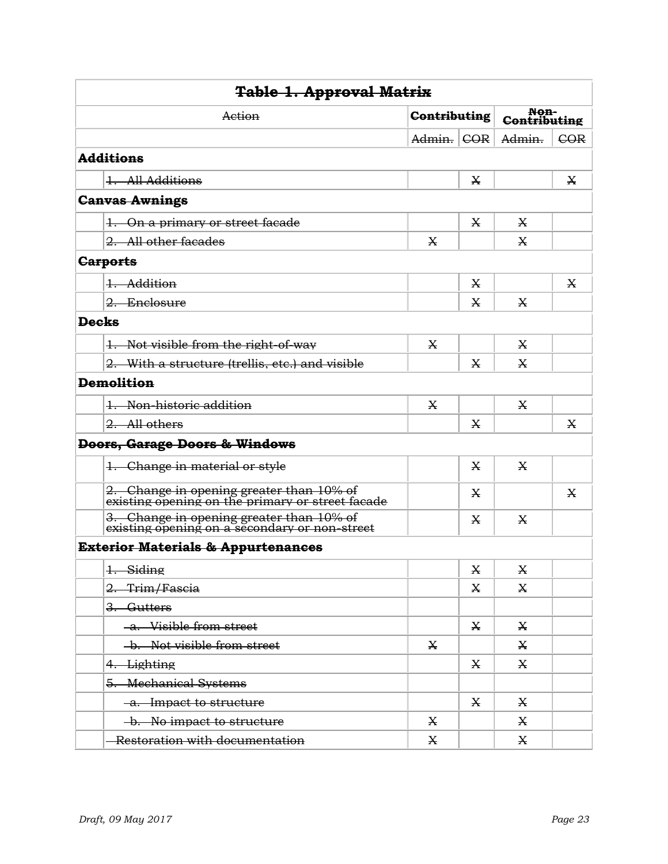| <b>Table 1. Approval Matrix</b>                                                              |            |   |              |     |  |  |
|----------------------------------------------------------------------------------------------|------------|---|--------------|-----|--|--|
| <b>Non-</b><br>Contributing<br><b>Contributing</b><br>Action                                 |            |   |              |     |  |  |
|                                                                                              | Admin. COR |   | Admin.       | COR |  |  |
| <b>Additions</b>                                                                             |            |   |              |     |  |  |
| 1. All Additions                                                                             |            | X |              | Х   |  |  |
| <b>Canvas Awnings</b>                                                                        |            |   |              |     |  |  |
| 1. On a primary or street facade                                                             |            | X | X            |     |  |  |
| 2. All other facades                                                                         | X          |   | X            |     |  |  |
| <b>Carports</b>                                                                              |            |   |              |     |  |  |
| 1. Addition                                                                                  |            | X |              | X   |  |  |
| 2. Enclosure                                                                                 |            | X | X            |     |  |  |
| <b>Decks</b>                                                                                 |            |   |              |     |  |  |
| 1. Not visible from the right-of-way                                                         | X          |   | X            |     |  |  |
| 2. With a structure (trellis, etc.) and visible                                              |            | X | X            |     |  |  |
| <b>Demolition</b>                                                                            |            |   |              |     |  |  |
| 1. Non-historic addition                                                                     | X          |   | X            |     |  |  |
| 2. All others                                                                                |            | X |              | X   |  |  |
| <b>Doors, Garage Doors &amp; Windows</b>                                                     |            |   |              |     |  |  |
| 1. Change in material or style                                                               |            | X | X            |     |  |  |
| 2. Change in opening greater than 10% of<br>existing opening on the primary or street facade |            | X |              | X   |  |  |
| 3. Change in opening greater than 10% of<br>existing opening on a secondary or non-street    |            | X | X            |     |  |  |
| <b>Exterior Materials &amp; Appurtenances</b>                                                |            |   |              |     |  |  |
| 1. Siding                                                                                    |            | X | $\mathbf X$  |     |  |  |
| 2. Trim/Fascia                                                                               |            | X | X            |     |  |  |
| 3. Gutters                                                                                   |            |   |              |     |  |  |
| -a. Visible from street                                                                      |            | X | $\mathbf{X}$ |     |  |  |
| -b. Not visible from street                                                                  | X          |   | X            |     |  |  |
| 4. Lighting                                                                                  |            | X | X            |     |  |  |
| 5. Mechanical Systems                                                                        |            |   |              |     |  |  |
| -a. Impact to structure                                                                      |            | X | X            |     |  |  |
| b. No impact to structure                                                                    | X          |   | X            |     |  |  |
| Restoration with documentation                                                               | X          |   | X            |     |  |  |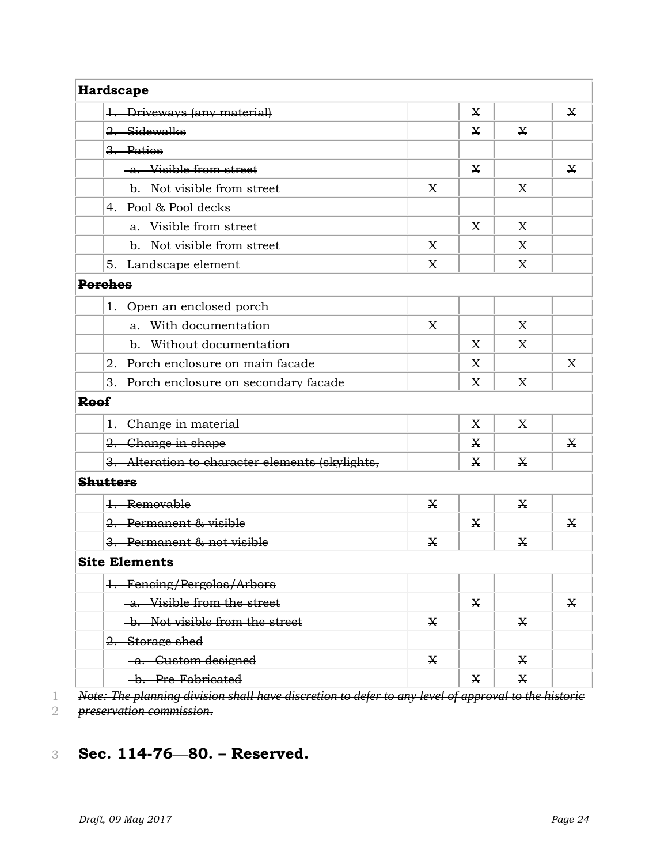| <b>Hardscape</b>                                |   |   |   |   |
|-------------------------------------------------|---|---|---|---|
| 1. Driveways (any material)                     |   | X |   | X |
| 2. Sidewalks                                    |   | X | X |   |
| 3. Patios                                       |   |   |   |   |
| -a. Visible from street                         |   | X |   | X |
| -b. Not visible from street                     | X |   | X |   |
| 4. Pool & Pool decks                            |   |   |   |   |
| -a. Visible from street                         |   | X | X |   |
| -b. Not visible from street                     | X |   | X |   |
| 5. Landscape element                            | X |   | X |   |
| <b>Porches</b>                                  |   |   |   |   |
| 1. Open an enclosed porch                       |   |   |   |   |
| -a. With documentation                          | X |   | X |   |
| -b. Without documentation                       |   | X | X |   |
| 2. Porch enclosure on main facade               |   | X |   | X |
| 3. Porch enclosure on secondary facade          |   | X | X |   |
| <b>Roof</b>                                     |   |   |   |   |
| 1. Change in material                           |   | X | X |   |
| 2. Change in shape                              |   | X |   | X |
| 3. Alteration to character elements (skylights, |   | X | X |   |
| <b>Shutters</b>                                 |   |   |   |   |
| 1. Removable                                    | X |   | X |   |
| 2. Permanent & visible                          |   | X |   | X |
| 3. Permanent & not visible                      | X |   | X |   |
| <b>Site Elements</b>                            |   |   |   |   |
| 1. Fencing/Pergolas/Arbors                      |   |   |   |   |
| -a. Visible from the street                     |   | X |   | X |
| -b. Not visible from the street                 | X |   | X |   |
| 2. Storage shed                                 |   |   |   |   |
| -a. Custom designed                             | X |   | X |   |
| -b. Pre-Fabricated                              |   | X | X |   |

1 *Note: The planning division shall have discretion to defer to any level of approval to the historic* 

2 *preservation commission*.

# 3 **Sec. 114-76—80. – Reserved.**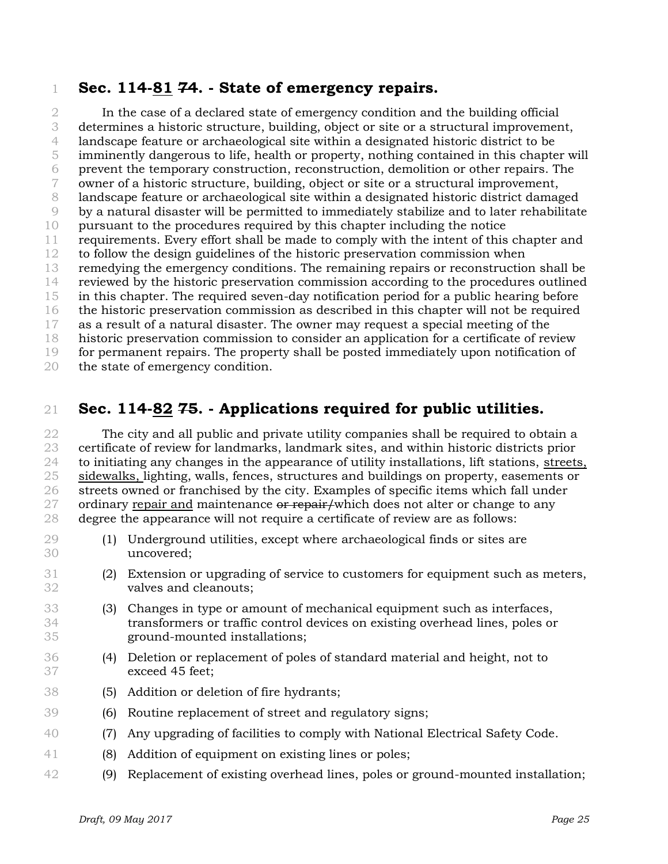#### **Sec. 114-81 74. - State of emergency repairs.**

 In the case of a declared state of emergency condition and the building official determines a historic structure, building, object or site or a structural improvement, landscape feature or archaeological site within a designated historic district to be imminently dangerous to life, health or property, nothing contained in this chapter will prevent the temporary construction, reconstruction, demolition or other repairs. The owner of a historic structure, building, object or site or a structural improvement, landscape feature or archaeological site within a designated historic district damaged by a natural disaster will be permitted to immediately stabilize and to later rehabilitate pursuant to the procedures required by this chapter including the notice requirements. Every effort shall be made to comply with the intent of this chapter and to follow the design guidelines of the historic preservation commission when remedying the emergency conditions. The remaining repairs or reconstruction shall be reviewed by the historic preservation commission according to the procedures outlined in this chapter. The required seven-day notification period for a public hearing before the historic preservation commission as described in this chapter will not be required as a result of a natural disaster. The owner may request a special meeting of the historic preservation commission to consider an application for a certificate of review for permanent repairs. The property shall be posted immediately upon notification of the state of emergency condition.

## **Sec. 114-82 75. - Applications required for public utilities.**

 The city and all public and private utility companies shall be required to obtain a certificate of review for landmarks, landmark sites, and within historic districts prior to initiating any changes in the appearance of utility installations, lift stations, streets, sidewalks, lighting, walls, fences, structures and buildings on property, easements or streets owned or franchised by the city. Examples of specific items which fall under 27 ordinary repair and maintenance or repair/which does not alter or change to any degree the appearance will not require a certificate of review are as follows:

- (1) Underground utilities, except where archaeological finds or sites are uncovered;
- (2) Extension or upgrading of service to customers for equipment such as meters, valves and cleanouts;
- (3) Changes in type or amount of mechanical equipment such as interfaces, transformers or traffic control devices on existing overhead lines, poles or ground-mounted installations;
- (4) Deletion or replacement of poles of standard material and height, not to exceed 45 feet;
- (5) Addition or deletion of fire hydrants;
- (6) Routine replacement of street and regulatory signs;
- (7) Any upgrading of facilities to comply with National Electrical Safety Code.
- (8) Addition of equipment on existing lines or poles;
- (9) Replacement of existing overhead lines, poles or ground-mounted installation;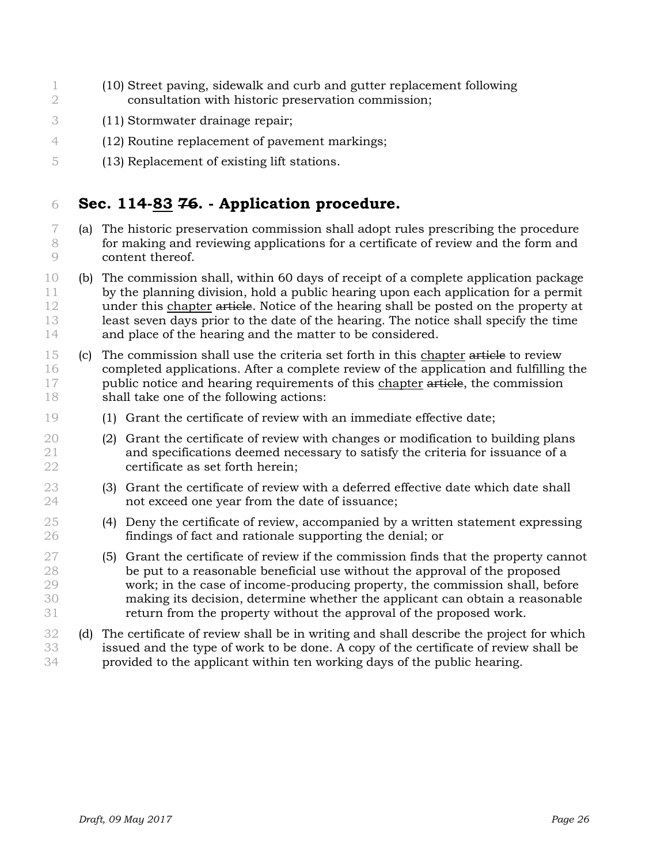- (10) Street paving, sidewalk and curb and gutter replacement following consultation with historic preservation commission;
- (11) Stormwater drainage repair;
- (12) Routine replacement of pavement markings;
- (13) Replacement of existing lift stations.

## **Sec. 114-83 76. - Application procedure.**

- (a) The historic preservation commission shall adopt rules prescribing the procedure for making and reviewing applications for a certificate of review and the form and content thereof.
- (b) The commission shall, within 60 days of receipt of a complete application package by the planning division, hold a public hearing upon each application for a permit 12 under this chapter article. Notice of the hearing shall be posted on the property at least seven days prior to the date of the hearing. The notice shall specify the time and place of the hearing and the matter to be considered.
- (c) The commission shall use the criteria set forth in this chapter article to review completed applications. After a complete review of the application and fulfilling the 17 public notice and hearing requirements of this chapter article, the commission shall take one of the following actions:
- (1) Grant the certificate of review with an immediate effective date;
- (2) Grant the certificate of review with changes or modification to building plans and specifications deemed necessary to satisfy the criteria for issuance of a certificate as set forth herein;
- (3) Grant the certificate of review with a deferred effective date which date shall not exceed one year from the date of issuance;
- (4) Deny the certificate of review, accompanied by a written statement expressing findings of fact and rationale supporting the denial; or
- (5) Grant the certificate of review if the commission finds that the property cannot be put to a reasonable beneficial use without the approval of the proposed work; in the case of income-producing property, the commission shall, before making its decision, determine whether the applicant can obtain a reasonable return from the property without the approval of the proposed work.
- (d) The certificate of review shall be in writing and shall describe the project for which issued and the type of work to be done. A copy of the certificate of review shall be provided to the applicant within ten working days of the public hearing.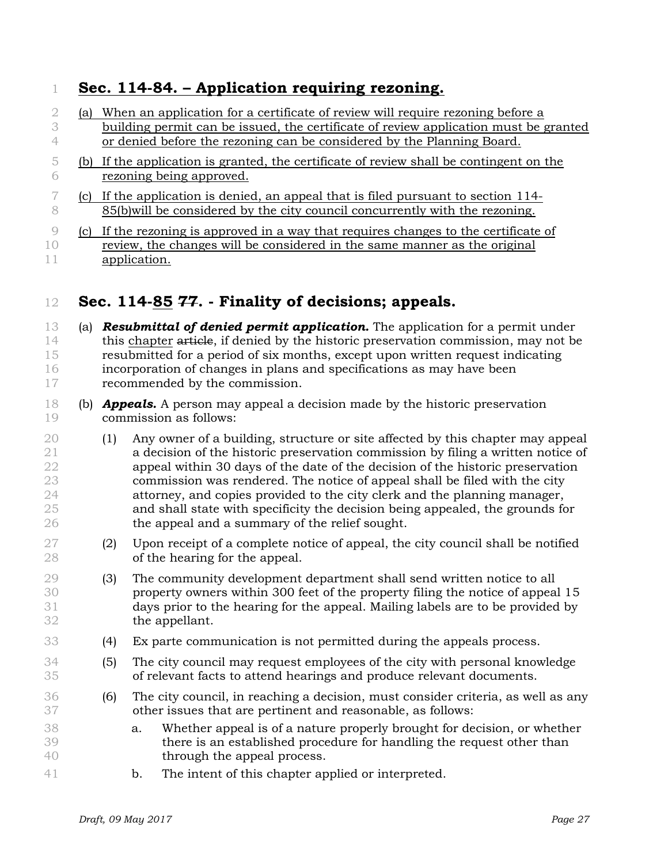## **Sec. 114-84. – Application requiring rezoning.**

| -2     | la) | When an application for a certificate of review will require rezoning before a       |
|--------|-----|--------------------------------------------------------------------------------------|
| 3      |     | building permit can be issued, the certificate of review application must be granted |
|        |     | or denied before the rezoning can be considered by the Planning Board.               |
| $\Box$ |     | If the application is granted, the certificate of review shall be contingent on the  |
| 6      |     | rezoning being approved.                                                             |
|        | (C) | If the application is denied, an appeal that is filed pursuant to section 114-       |
| 8      |     | 85(b) will be considered by the city council concurrently with the rezoning.         |
|        | lC) | If the rezoning is approved in a way that requires changes to the certificate of     |

10 review, the changes will be considered in the same manner as the original application.

## **Sec. 114-85 77. - Finality of decisions; appeals.**

- (a) *Resubmittal of denied permit application.* The application for a permit under 14 this chapter article, if denied by the historic preservation commission, may not be resubmitted for a period of six months, except upon written request indicating incorporation of changes in plans and specifications as may have been recommended by the commission.
- (b) *Appeals.* A person may appeal a decision made by the historic preservation commission as follows:
- (1) Any owner of a building, structure or site affected by this chapter may appeal a decision of the historic preservation commission by filing a written notice of appeal within 30 days of the date of the decision of the historic preservation commission was rendered. The notice of appeal shall be filed with the city attorney, and copies provided to the city clerk and the planning manager, and shall state with specificity the decision being appealed, the grounds for the appeal and a summary of the relief sought.
- (2) Upon receipt of a complete notice of appeal, the city council shall be notified of the hearing for the appeal.
- (3) The community development department shall send written notice to all property owners within 300 feet of the property filing the notice of appeal 15 days prior to the hearing for the appeal. Mailing labels are to be provided by the appellant.
- (4) Ex parte communication is not permitted during the appeals process.
- (5) The city council may request employees of the city with personal knowledge of relevant facts to attend hearings and produce relevant documents.
- (6) The city council, in reaching a decision, must consider criteria, as well as any other issues that are pertinent and reasonable, as follows:
- a. Whether appeal is of a nature properly brought for decision, or whether there is an established procedure for handling the request other than through the appeal process.
- b. The intent of this chapter applied or interpreted.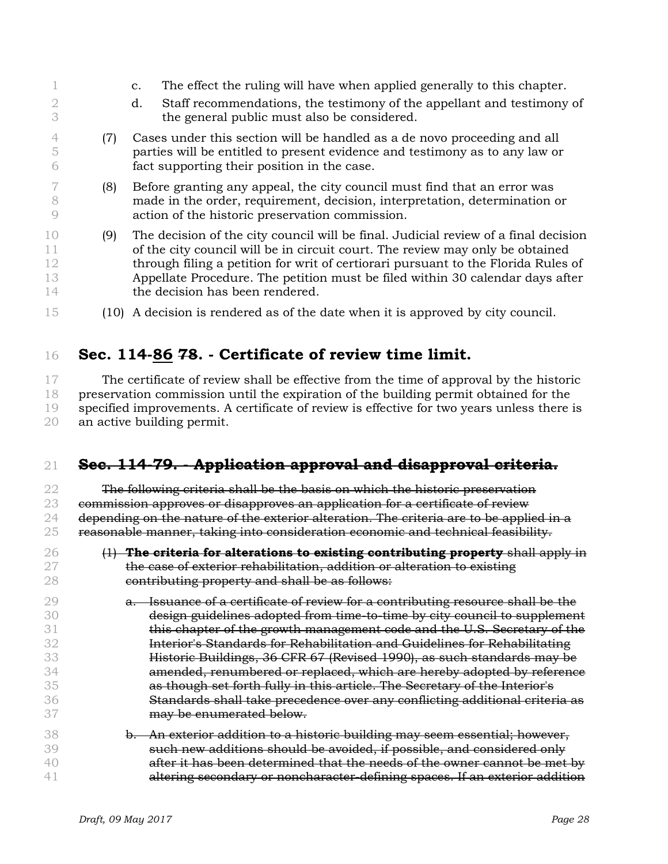|                            |     | The effect the ruling will have when applied generally to this chapter.<br>$\mathbf{C}$ .                                                                                                                                                                                                                                                                                     |
|----------------------------|-----|-------------------------------------------------------------------------------------------------------------------------------------------------------------------------------------------------------------------------------------------------------------------------------------------------------------------------------------------------------------------------------|
|                            |     | Staff recommendations, the testimony of the appellant and testimony of<br>d.<br>the general public must also be considered.                                                                                                                                                                                                                                                   |
| $\circ$                    | (7) | Cases under this section will be handled as a de novo proceeding and all<br>parties will be entitled to present evidence and testimony as to any law or<br>fact supporting their position in the case.                                                                                                                                                                        |
| -8                         | (8) | Before granting any appeal, the city council must find that an error was<br>made in the order, requirement, decision, interpretation, determination or<br>action of the historic preservation commission.                                                                                                                                                                     |
| 10<br>11<br>12<br>13<br>14 | (9) | The decision of the city council will be final. Judicial review of a final decision<br>of the city council will be in circuit court. The review may only be obtained<br>through filing a petition for writ of certiorari pursuant to the Florida Rules of<br>Appellate Procedure. The petition must be filed within 30 calendar days after<br>the decision has been rendered. |
| 15                         |     | (10) A decision is rendered as of the date when it is approved by city council.                                                                                                                                                                                                                                                                                               |

## **Sec. 114-86 78. - Certificate of review time limit.**

 The certificate of review shall be effective from the time of approval by the historic preservation commission until the expiration of the building permit obtained for the specified improvements. A certificate of review is effective for two years unless there is an active building permit.

## **Sec. 114-79. - Application approval and disapproval criteria.**

 The following criteria shall be the basis on which the historic preservation 23 commission approves or disapproves an application for a certificate of review depending on the nature of the exterior alteration. The criteria are to be applied in a reasonable manner, taking into consideration economic and technical feasibility.

- (1) **The criteria for alterations to existing contributing property** shall apply in the case of exterior rehabilitation, addition or alteration to existing **contributing property and shall be as follows:**
- a. Issuance of a certificate of review for a contributing resource shall be the design guidelines adopted from time-to-time by city council to supplement **this chapter of the growth management code and the U.S. Secretary of the**  Interior's Standards for Rehabilitation and Guidelines for Rehabilitating Historic Buildings, 36 CFR 67 (Revised 1990), as such standards may be amended, renumbered or replaced, which are hereby adopted by reference as though set forth fully in this article. The Secretary of the Interior's Standards shall take precedence over any conflicting additional criteria as **may be enumerated below.**
- **b. An exterior addition to a historic building may seem essential; however,**  such new additions should be avoided, if possible, and considered only after it has been determined that the needs of the owner cannot be met by altering secondary or noncharacter-defining spaces. If an exterior addition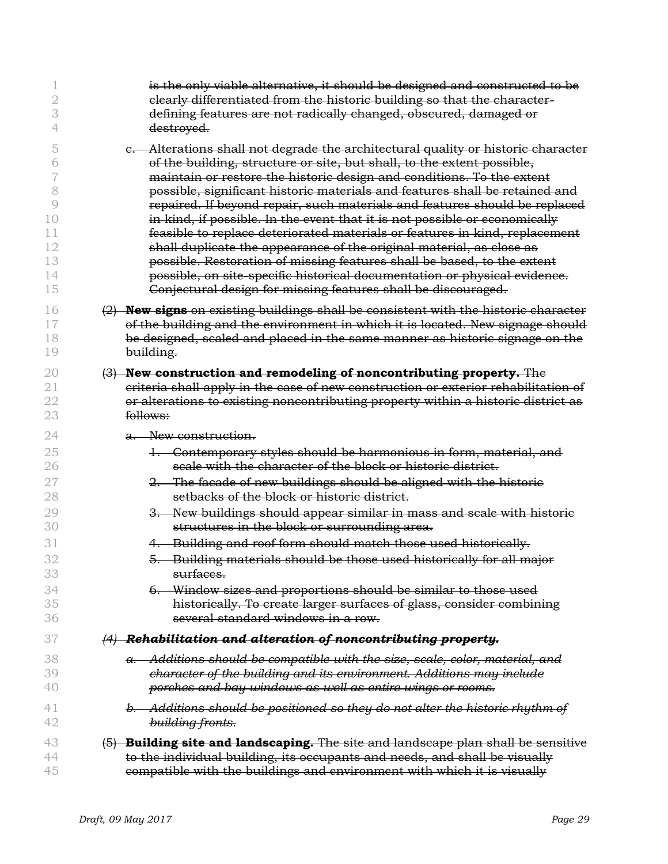| 2<br>3   | is the only viable alternative, it should be designed and constructed to be<br>elearly differentiated from the historic building so that the character-<br>defining features are not radically changed, obscured, damaged or |
|----------|------------------------------------------------------------------------------------------------------------------------------------------------------------------------------------------------------------------------------|
| 4        | destroyed.                                                                                                                                                                                                                   |
| 5        | e. Alterations shall not degrade the architectural quality or historic character                                                                                                                                             |
| 6        | of the building, structure or site, but shall, to the extent possible,                                                                                                                                                       |
| 7        | maintain or restore the historic design and conditions. To the extent                                                                                                                                                        |
| 8        | possible, significant historic materials and features shall be retained and                                                                                                                                                  |
| $\circ$  | repaired. If beyond repair, such materials and features should be replaced                                                                                                                                                   |
| 10       | in kind, if possible. In the event that it is not possible or economically                                                                                                                                                   |
| 11       | feasible to replace deteriorated materials or features in kind, replacement                                                                                                                                                  |
| 12       | shall duplicate the appearance of the original material, as close as                                                                                                                                                         |
| 13       | possible. Restoration of missing features shall be based, to the extent                                                                                                                                                      |
| 14       | possible, on site specific historical documentation or physical evidence.                                                                                                                                                    |
| 15       | Conjectural design for missing features shall be discouraged.                                                                                                                                                                |
| 16       | (2) New signs on existing buildings shall be consistent with the historic character                                                                                                                                          |
| 17       | of the building and the environment in which it is located. New signage should                                                                                                                                               |
| 18       | be designed, scaled and placed in the same manner as historic signage on the                                                                                                                                                 |
| 19       | building.                                                                                                                                                                                                                    |
| 20       | (3) New construction and remodeling of noncontributing property. The                                                                                                                                                         |
| 21       | criteria shall apply in the case of new construction or exterior rehabilitation of                                                                                                                                           |
| 22       | or alterations to existing noncontributing property within a historic district as                                                                                                                                            |
| 23       | follows:                                                                                                                                                                                                                     |
| 24       | a. New construction.                                                                                                                                                                                                         |
| 25       | 1. Contemporary styles should be harmonious in form, material, and                                                                                                                                                           |
| 26       | scale with the character of the block or historic district.                                                                                                                                                                  |
| 27       | 2. The facade of new buildings should be aligned with the historic                                                                                                                                                           |
| 28       | setbacks of the block or historic district.                                                                                                                                                                                  |
| 29       | 3. New buildings should appear similar in mass and scale with historic                                                                                                                                                       |
| 30       | structures in the block or surrounding area.                                                                                                                                                                                 |
| 31       | 4. Building and roof form should match those used historically.                                                                                                                                                              |
| 32<br>34 | 5. Building materials should be those used historically for all major<br><del>surfaces.</del><br>6. Window sizes and proportions should be similar to those used                                                             |
| 35       | historically. To create larger surfaces of glass, consider combining                                                                                                                                                         |
| 36       | several standard windows in a row.                                                                                                                                                                                           |
| 37       | $(4)$ Rehabilitation and alteration of noncontributing property.                                                                                                                                                             |
| 38       | Additions should be compatible with the size, scale, color, material, and                                                                                                                                                    |
| 39       | character of the building and its environment. Additions may include                                                                                                                                                         |
| 40       | porches and bay windows as well as entire wings or rooms.                                                                                                                                                                    |
| 41       | b. Additions should be positioned so they do not alter the historic rhythm of                                                                                                                                                |
| 42       | building fronts.                                                                                                                                                                                                             |
| 43       | (5) Building site and landscaping. The site and landscape plan shall be sensitive                                                                                                                                            |
| 44       | to the individual building, its occupants and needs, and shall be visually                                                                                                                                                   |
| 45       | compatible with the buildings and environment with which it is visually                                                                                                                                                      |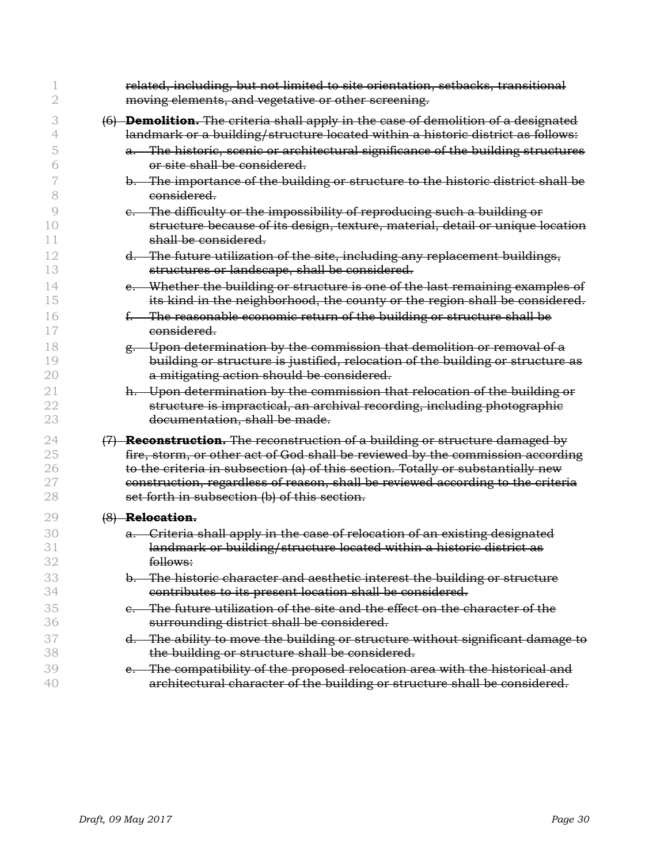|                | related, including, but not limited to site orientation, setbacks, transitional<br>moving elements, and vegetative or other screening.                                                 |
|----------------|----------------------------------------------------------------------------------------------------------------------------------------------------------------------------------------|
|                | (6) <b>Demolition.</b> The criteria shall apply in the case of demolition of a designated                                                                                              |
|                | landmark or a building/structure located within a historic district as follows:                                                                                                        |
| 5              | a. The historic, scenic or architectural significance of the building structures<br>or site shall be considered.                                                                       |
| 8              | b. The importance of the building or structure to the historic district shall be<br>considered.                                                                                        |
| 9              | e. The difficulty or the impossibility of reproducing such a building or                                                                                                               |
| 10<br>11       | structure because of its design, texture, material, detail or unique location<br>shall be considered.                                                                                  |
| 12<br>13       | d. The future utilization of the site, including any replacement buildings,<br>structures or landscape, shall be considered.                                                           |
| 14<br>15       | e. Whether the building or structure is one of the last remaining examples of<br>its kind in the neighborhood, the county or the region shall be considered.                           |
| 16<br>17       | f. The reasonable economic return of the building or structure shall be<br>considered.                                                                                                 |
| 18             | g. Upon determination by the commission that demolition or removal of a                                                                                                                |
| 19<br>20       | building or structure is justified, relocation of the building or structure as<br>a mitigating action should be considered.                                                            |
| 21<br>22<br>23 | h. Upon determination by the commission that relocation of the building or<br>structure is impractical, an archival recording, including photographic<br>documentation, shall be made. |
| 24             | $(7)$ <b>Reconstruction.</b> The reconstruction of a building or structure damaged by                                                                                                  |
| 25             | fire, storm, or other act of God shall be reviewed by the commission according                                                                                                         |
| 26             | to the criteria in subsection (a) of this section. Totally or substantially new                                                                                                        |
| 27             | construction, regardless of reason, shall be reviewed according to the criteria                                                                                                        |
| 28             | set forth in subsection (b) of this section.                                                                                                                                           |
| 29             | (8) Relocation.                                                                                                                                                                        |
| 30             | a. Criteria shall apply in the case of relocation of an existing designated                                                                                                            |
| 31             | landmark or building/structure located within a historic district as                                                                                                                   |
| 32             | follows:                                                                                                                                                                               |
| 33             | b. The historic character and aesthetic interest the building or structure                                                                                                             |
| 34             | contributes to its present location shall be considered.                                                                                                                               |
| 35             | e. The future utilization of the site and the effect on the character of the                                                                                                           |
| 36             | surrounding district shall be considered.                                                                                                                                              |
| 37             | d. The ability to move the building or structure without significant damage to                                                                                                         |
| 38             | the building or structure shall be considered.                                                                                                                                         |
| 39             | e. The compatibility of the proposed relocation area with the historical and                                                                                                           |
| 40             | architectural character of the building or structure shall be considered.                                                                                                              |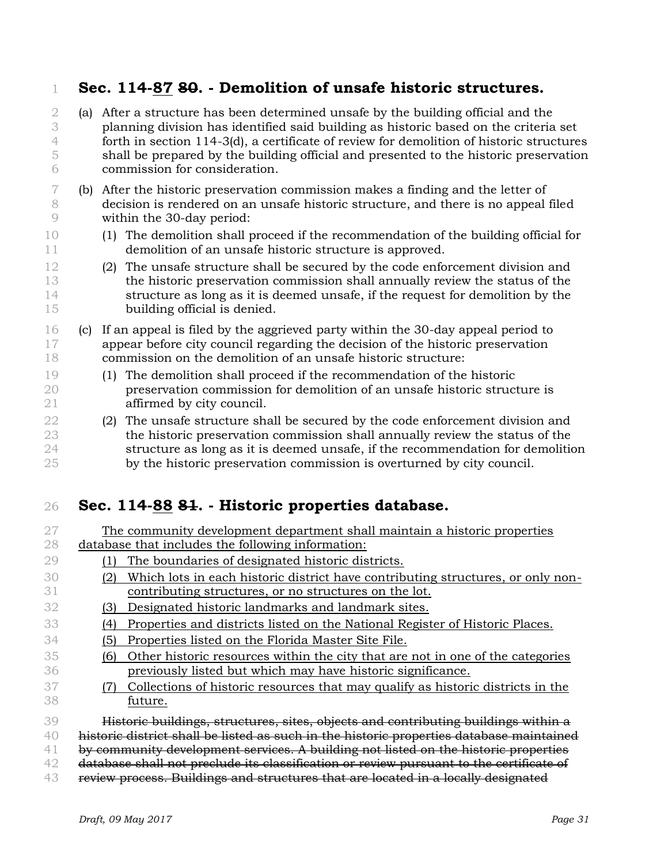## **Sec. 114-87 80. - Demolition of unsafe historic structures.**

- (a) After a structure has been determined unsafe by the building official and the planning division has identified said building as historic based on the criteria set forth in section 114-3(d), a certificate of review for demolition of historic structures shall be prepared by the building official and presented to the historic preservation commission for consideration.
- (b) After the historic preservation commission makes a finding and the letter of decision is rendered on an unsafe historic structure, and there is no appeal filed within the 30-day period:
- (1) The demolition shall proceed if the recommendation of the building official for demolition of an unsafe historic structure is approved.
- (2) The unsafe structure shall be secured by the code enforcement division and the historic preservation commission shall annually review the status of the structure as long as it is deemed unsafe, if the request for demolition by the building official is denied.
- (c) If an appeal is filed by the aggrieved party within the 30-day appeal period to appear before city council regarding the decision of the historic preservation commission on the demolition of an unsafe historic structure:
- (1) The demolition shall proceed if the recommendation of the historic preservation commission for demolition of an unsafe historic structure is affirmed by city council.
- 22 (2) The unsafe structure shall be secured by the code enforcement division and the historic preservation commission shall annually review the status of the 24 structure as long as it is deemed unsafe, if the recommendation for demolition by the historic preservation commission is overturned by city council.

## **Sec. 114-88 81. - Historic properties database.**

| 27     |                                                                                          | The community development department shall maintain a historic properties                                      |  |  |
|--------|------------------------------------------------------------------------------------------|----------------------------------------------------------------------------------------------------------------|--|--|
| 28     |                                                                                          | database that includes the following information:                                                              |  |  |
| 29     | ٦١                                                                                       | The boundaries of designated historic districts.                                                               |  |  |
| 30     |                                                                                          | Which lots in each historic district have contributing structures, or only non-                                |  |  |
| 31     |                                                                                          | contributing structures, or no structures on the lot.                                                          |  |  |
| 32     | (3)                                                                                      | Designated historic landmarks and landmark sites.                                                              |  |  |
| 33     | (4)                                                                                      | Properties and districts listed on the National Register of Historic Places.                                   |  |  |
| 34     | (5)                                                                                      | Properties listed on the Florida Master Site File.                                                             |  |  |
| 35     | (6)                                                                                      | Other historic resources within the city that are not in one of the categories                                 |  |  |
| 36     |                                                                                          | previously listed but which may have historic significance.                                                    |  |  |
| 37     |                                                                                          | Collections of historic resources that may qualify as historic districts in the                                |  |  |
| -38    |                                                                                          | future.                                                                                                        |  |  |
| 39     |                                                                                          | Historic buildings, structures, sites, objects and contributing buildings within a                             |  |  |
| 40     | historic district shall be listed as such in the historic properties database maintained |                                                                                                                |  |  |
| 41     |                                                                                          | by community development services. A building not listed on the historic properties                            |  |  |
| 42     |                                                                                          | database shall not preclude its classification or review pursuant to the certificate of                        |  |  |
| $\sim$ |                                                                                          | restricted and the contract of the contract of the contract of the contract of the contract of the contract of |  |  |

**review process. Buildings and structures that are located in a locally designated**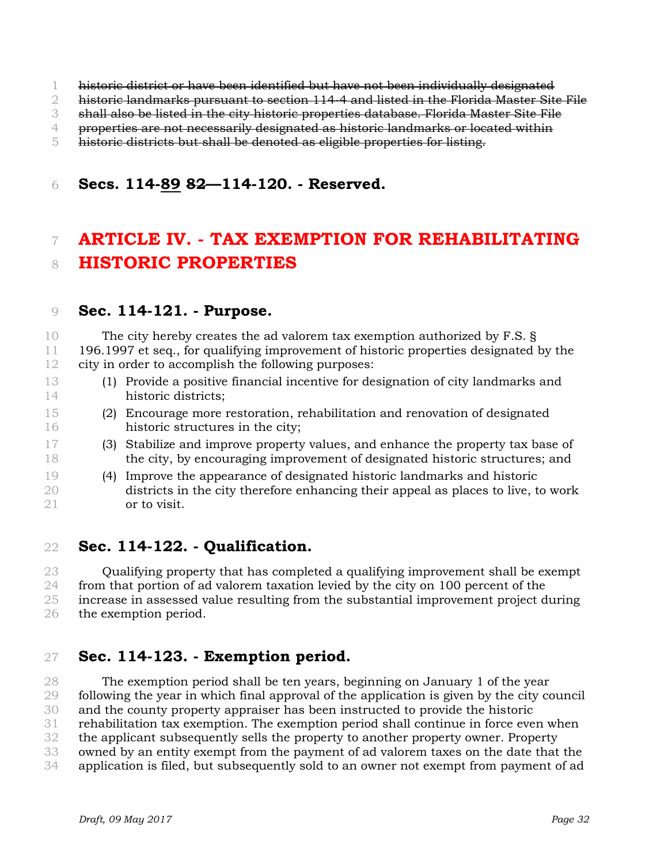- historic district or have been identified but have not been individually designated
- 2 historic landmarks pursuant to section 114-4 and listed in the Florida Master Site File
- shall also be listed in the city historic properties database. Florida Master Site File
- properties are not necessarily designated as historic landmarks or located within
- historic districts but shall be denoted as eligible properties for listing.

### **Secs. 114-89 82—114-120. - Reserved.**

# **ARTICLE IV. - TAX EXEMPTION FOR REHABILITATING HISTORIC PROPERTIES**

#### **Sec. 114-121. - Purpose.**

 The city hereby creates the ad valorem tax exemption authorized by F.S. § 196.1997 et seq., for qualifying improvement of historic properties designated by the city in order to accomplish the following purposes:

- (1) Provide a positive financial incentive for designation of city landmarks and historic districts;
- (2) Encourage more restoration, rehabilitation and renovation of designated historic structures in the city;
- (3) Stabilize and improve property values, and enhance the property tax base of the city, by encouraging improvement of designated historic structures; and

#### (4) Improve the appearance of designated historic landmarks and historic districts in the city therefore enhancing their appeal as places to live, to work or to visit.

**Sec. 114-122. - Qualification.** 

 Qualifying property that has completed a qualifying improvement shall be exempt 24 from that portion of ad valorem taxation levied by the city on 100 percent of the increase in assessed value resulting from the substantial improvement project during the exemption period.

### **Sec. 114-123. - Exemption period.**

 The exemption period shall be ten years, beginning on January 1 of the year following the year in which final approval of the application is given by the city council and the county property appraiser has been instructed to provide the historic rehabilitation tax exemption. The exemption period shall continue in force even when the applicant subsequently sells the property to another property owner. Property owned by an entity exempt from the payment of ad valorem taxes on the date that the application is filed, but subsequently sold to an owner not exempt from payment of ad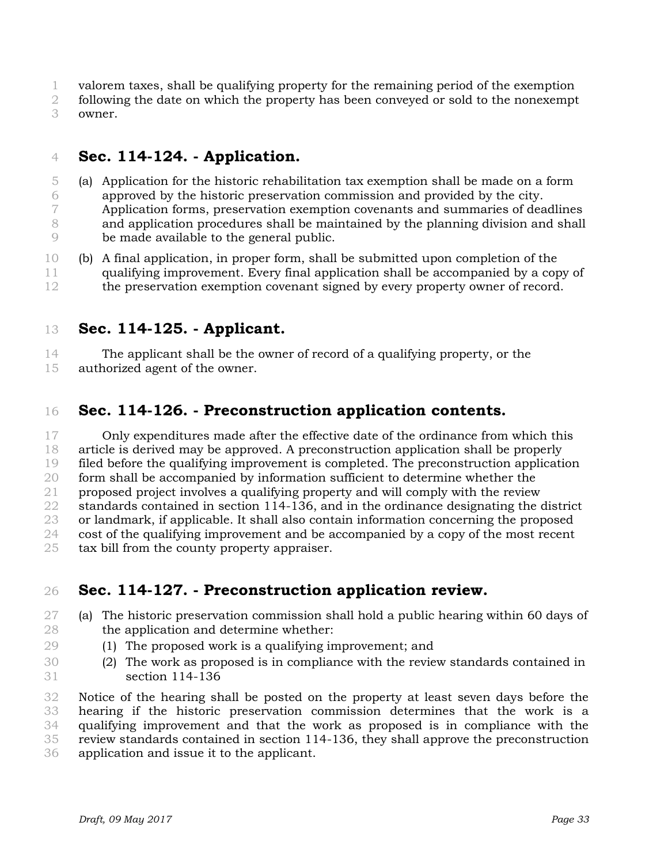- valorem taxes, shall be qualifying property for the remaining period of the exemption
- following the date on which the property has been conveyed or sold to the nonexempt owner.

## **Sec. 114-124. - Application.**

- (a) Application for the historic rehabilitation tax exemption shall be made on a form approved by the historic preservation commission and provided by the city. Application forms, preservation exemption covenants and summaries of deadlines and application procedures shall be maintained by the planning division and shall be made available to the general public.
- (b) A final application, in proper form, shall be submitted upon completion of the qualifying improvement. Every final application shall be accompanied by a copy of 12 the preservation exemption covenant signed by every property owner of record.
- **Sec. 114-125. - Applicant.**

The applicant shall be the owner of record of a qualifying property, or the

authorized agent of the owner.

## **Sec. 114-126. - Preconstruction application contents.**

 Only expenditures made after the effective date of the ordinance from which this article is derived may be approved. A preconstruction application shall be properly filed before the qualifying improvement is completed. The preconstruction application form shall be accompanied by information sufficient to determine whether the proposed project involves a qualifying property and will comply with the review standards contained in section 114-136, and in the ordinance designating the district or landmark, if applicable. It shall also contain information concerning the proposed cost of the qualifying improvement and be accompanied by a copy of the most recent

tax bill from the county property appraiser.

## **Sec. 114-127. - Preconstruction application review.**

- (a) The historic preservation commission shall hold a public hearing within 60 days of the application and determine whether:
- (1) The proposed work is a qualifying improvement; and
- (2) The work as proposed is in compliance with the review standards contained in section 114-136

 Notice of the hearing shall be posted on the property at least seven days before the hearing if the historic preservation commission determines that the work is a qualifying improvement and that the work as proposed is in compliance with the review standards contained in section 114-136, they shall approve the preconstruction application and issue it to the applicant.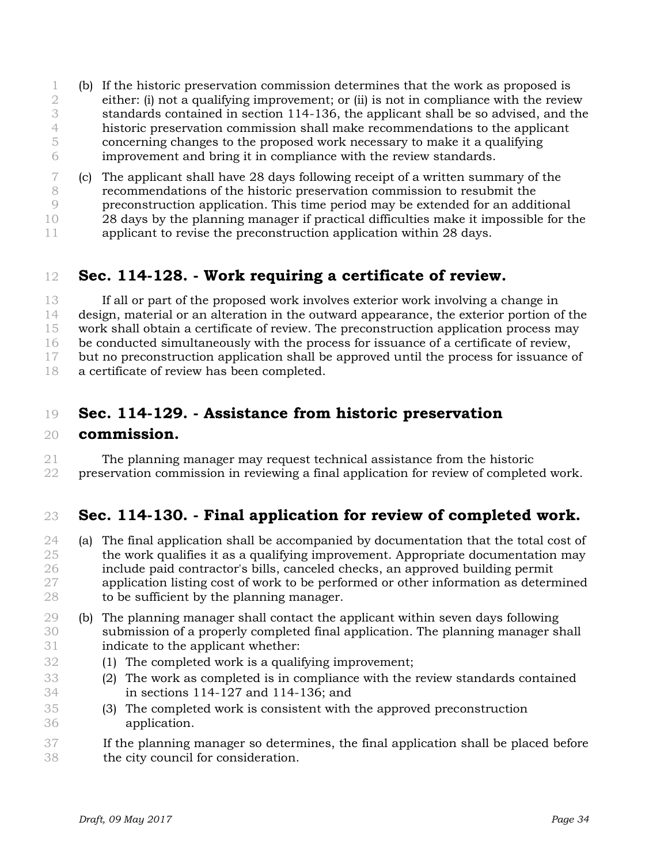- (b) If the historic preservation commission determines that the work as proposed is either: (i) not a qualifying improvement; or (ii) is not in compliance with the review standards contained in section 114-136, the applicant shall be so advised, and the historic preservation commission shall make recommendations to the applicant concerning changes to the proposed work necessary to make it a qualifying improvement and bring it in compliance with the review standards.
- (c) The applicant shall have 28 days following receipt of a written summary of the recommendations of the historic preservation commission to resubmit the preconstruction application. This time period may be extended for an additional 28 days by the planning manager if practical difficulties make it impossible for the 11 applicant to revise the preconstruction application within 28 days.

## **Sec. 114-128. - Work requiring a certificate of review.**

 If all or part of the proposed work involves exterior work involving a change in design, material or an alteration in the outward appearance, the exterior portion of the work shall obtain a certificate of review. The preconstruction application process may be conducted simultaneously with the process for issuance of a certificate of review, but no preconstruction application shall be approved until the process for issuance of a certificate of review has been completed.

### **Sec. 114-129. - Assistance from historic preservation**

#### **commission.**

 The planning manager may request technical assistance from the historic preservation commission in reviewing a final application for review of completed work.

### **Sec. 114-130. - Final application for review of completed work.**

- (a) The final application shall be accompanied by documentation that the total cost of the work qualifies it as a qualifying improvement. Appropriate documentation may include paid contractor's bills, canceled checks, an approved building permit application listing cost of work to be performed or other information as determined to be sufficient by the planning manager.
- (b) The planning manager shall contact the applicant within seven days following submission of a properly completed final application. The planning manager shall indicate to the applicant whether:
- (1) The completed work is a qualifying improvement;
- (2) The work as completed is in compliance with the review standards contained in sections 114-127 and 114-136; and
- (3) The completed work is consistent with the approved preconstruction application.
- If the planning manager so determines, the final application shall be placed before the city council for consideration.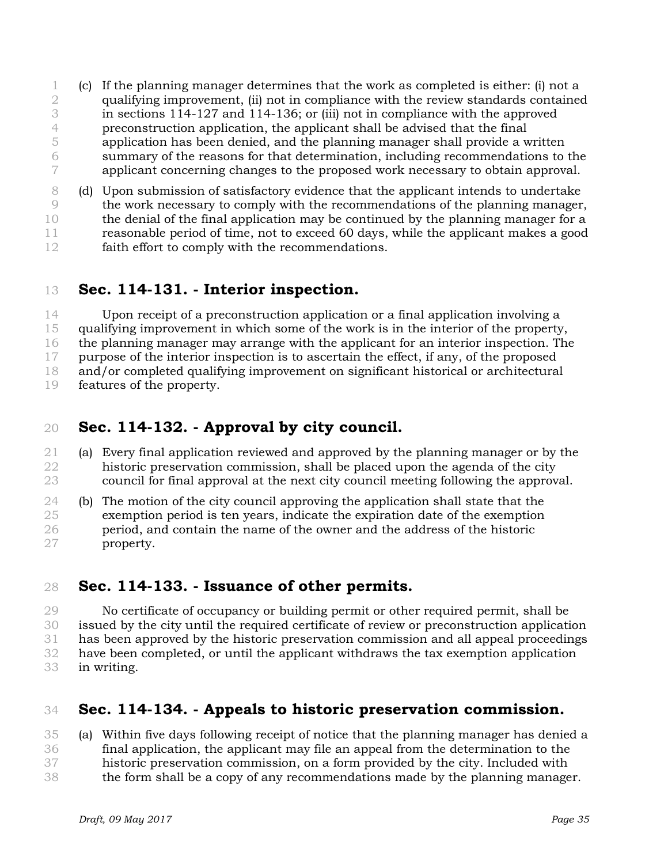- (c) If the planning manager determines that the work as completed is either: (i) not a qualifying improvement, (ii) not in compliance with the review standards contained in sections 114-127 and 114-136; or (iii) not in compliance with the approved preconstruction application, the applicant shall be advised that the final application has been denied, and the planning manager shall provide a written summary of the reasons for that determination, including recommendations to the applicant concerning changes to the proposed work necessary to obtain approval.
- (d) Upon submission of satisfactory evidence that the applicant intends to undertake the work necessary to comply with the recommendations of the planning manager, the denial of the final application may be continued by the planning manager for a reasonable period of time, not to exceed 60 days, while the applicant makes a good faith effort to comply with the recommendations.
- **Sec. 114-131. - Interior inspection.**

 Upon receipt of a preconstruction application or a final application involving a qualifying improvement in which some of the work is in the interior of the property, the planning manager may arrange with the applicant for an interior inspection. The purpose of the interior inspection is to ascertain the effect, if any, of the proposed and/or completed qualifying improvement on significant historical or architectural features of the property.

## **Sec. 114-132. - Approval by city council.**

- (a) Every final application reviewed and approved by the planning manager or by the historic preservation commission, shall be placed upon the agenda of the city council for final approval at the next city council meeting following the approval.
- (b) The motion of the city council approving the application shall state that the exemption period is ten years, indicate the expiration date of the exemption period, and contain the name of the owner and the address of the historic property.

### **Sec. 114-133. - Issuance of other permits.**

 No certificate of occupancy or building permit or other required permit, shall be issued by the city until the required certificate of review or preconstruction application has been approved by the historic preservation commission and all appeal proceedings have been completed, or until the applicant withdraws the tax exemption application in writing.

## **Sec. 114-134. - Appeals to historic preservation commission.**

 (a) Within five days following receipt of notice that the planning manager has denied a final application, the applicant may file an appeal from the determination to the historic preservation commission, on a form provided by the city. Included with the form shall be a copy of any recommendations made by the planning manager.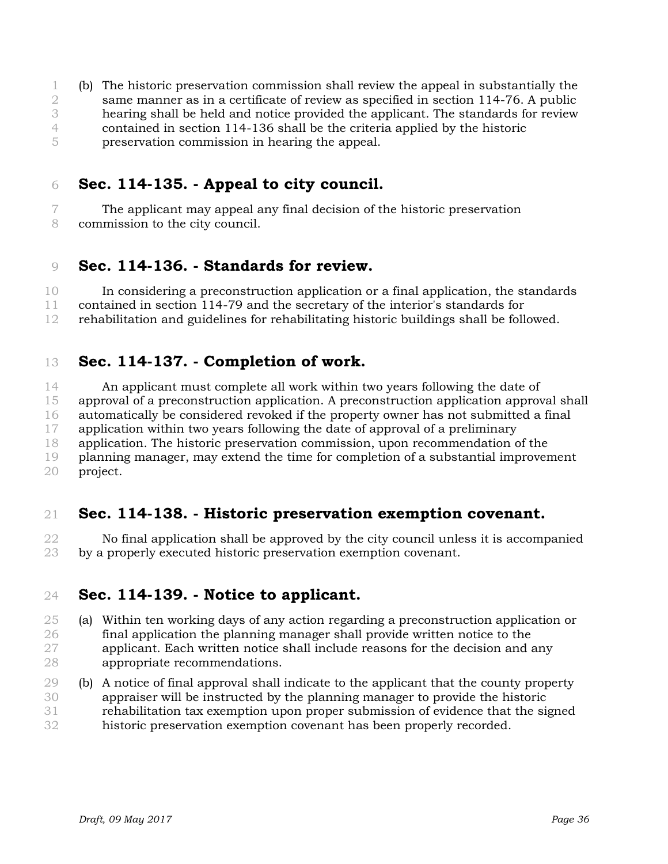(b) The historic preservation commission shall review the appeal in substantially the same manner as in a certificate of review as specified in section 114-76. A public hearing shall be held and notice provided the applicant. The standards for review contained in section 114-136 shall be the criteria applied by the historic preservation commission in hearing the appeal.

## **Sec. 114-135. - Appeal to city council.**

 The applicant may appeal any final decision of the historic preservation commission to the city council.

#### **Sec. 114-136. - Standards for review.**

 In considering a preconstruction application or a final application, the standards contained in section 114-79 and the secretary of the interior's standards for rehabilitation and guidelines for rehabilitating historic buildings shall be followed.

#### **Sec. 114-137. - Completion of work.**

 An applicant must complete all work within two years following the date of approval of a preconstruction application. A preconstruction application approval shall automatically be considered revoked if the property owner has not submitted a final application within two years following the date of approval of a preliminary application. The historic preservation commission, upon recommendation of the planning manager, may extend the time for completion of a substantial improvement project.

### **Sec. 114-138. - Historic preservation exemption covenant.**

 No final application shall be approved by the city council unless it is accompanied by a properly executed historic preservation exemption covenant.

### **Sec. 114-139. - Notice to applicant.**

- (a) Within ten working days of any action regarding a preconstruction application or final application the planning manager shall provide written notice to the applicant. Each written notice shall include reasons for the decision and any appropriate recommendations.
- (b) A notice of final approval shall indicate to the applicant that the county property appraiser will be instructed by the planning manager to provide the historic rehabilitation tax exemption upon proper submission of evidence that the signed historic preservation exemption covenant has been properly recorded.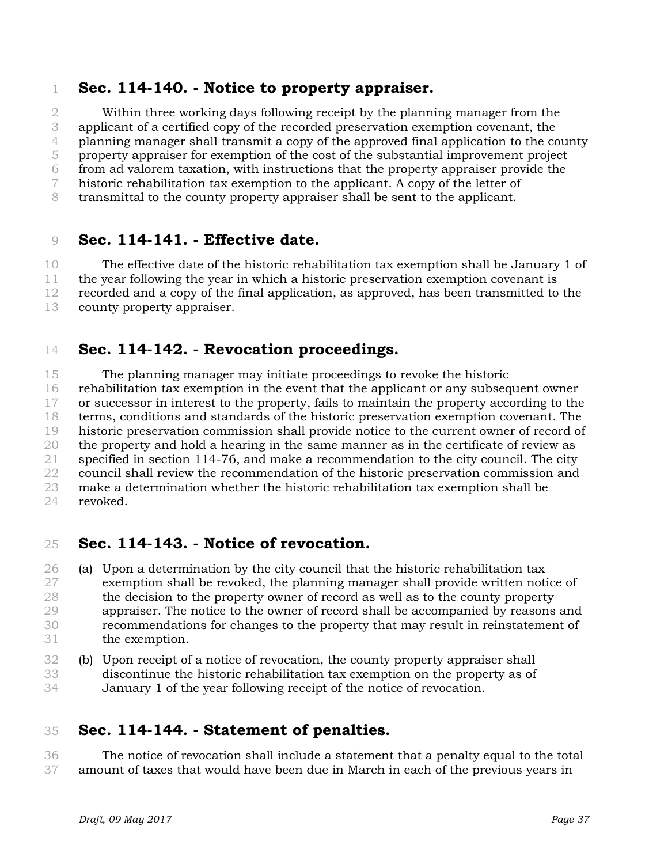#### **Sec. 114-140. - Notice to property appraiser.**

 Within three working days following receipt by the planning manager from the applicant of a certified copy of the recorded preservation exemption covenant, the planning manager shall transmit a copy of the approved final application to the county property appraiser for exemption of the cost of the substantial improvement project from ad valorem taxation, with instructions that the property appraiser provide the historic rehabilitation tax exemption to the applicant. A copy of the letter of transmittal to the county property appraiser shall be sent to the applicant.

#### **Sec. 114-141. - Effective date.**

 The effective date of the historic rehabilitation tax exemption shall be January 1 of the year following the year in which a historic preservation exemption covenant is recorded and a copy of the final application, as approved, has been transmitted to the county property appraiser.

### **Sec. 114-142. - Revocation proceedings.**

 The planning manager may initiate proceedings to revoke the historic rehabilitation tax exemption in the event that the applicant or any subsequent owner or successor in interest to the property, fails to maintain the property according to the terms, conditions and standards of the historic preservation exemption covenant. The historic preservation commission shall provide notice to the current owner of record of the property and hold a hearing in the same manner as in the certificate of review as 21 specified in section 114-76, and make a recommendation to the city council. The city council shall review the recommendation of the historic preservation commission and make a determination whether the historic rehabilitation tax exemption shall be revoked.

#### **Sec. 114-143. - Notice of revocation.**

 (a) Upon a determination by the city council that the historic rehabilitation tax exemption shall be revoked, the planning manager shall provide written notice of the decision to the property owner of record as well as to the county property appraiser. The notice to the owner of record shall be accompanied by reasons and recommendations for changes to the property that may result in reinstatement of the exemption.

 (b) Upon receipt of a notice of revocation, the county property appraiser shall discontinue the historic rehabilitation tax exemption on the property as of January 1 of the year following receipt of the notice of revocation.

#### **Sec. 114-144. - Statement of penalties.**

 The notice of revocation shall include a statement that a penalty equal to the total amount of taxes that would have been due in March in each of the previous years in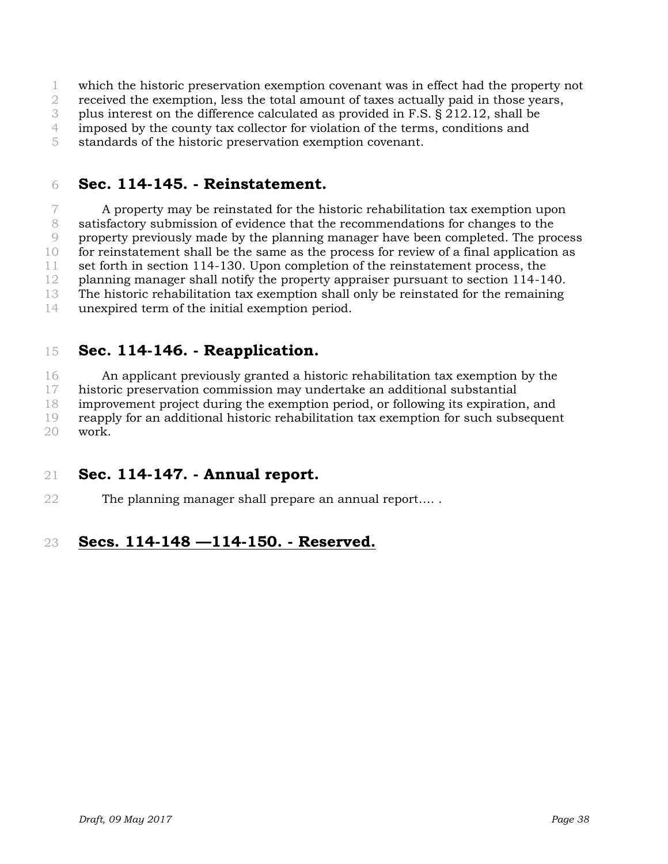which the historic preservation exemption covenant was in effect had the property not

received the exemption, less the total amount of taxes actually paid in those years,

plus interest on the difference calculated as provided in F.S. § 212.12, shall be

imposed by the county tax collector for violation of the terms, conditions and

standards of the historic preservation exemption covenant.

## **Sec. 114-145. - Reinstatement.**

 A property may be reinstated for the historic rehabilitation tax exemption upon satisfactory submission of evidence that the recommendations for changes to the property previously made by the planning manager have been completed. The process for reinstatement shall be the same as the process for review of a final application as set forth in section 114-130. Upon completion of the reinstatement process, the planning manager shall notify the property appraiser pursuant to section 114-140. The historic rehabilitation tax exemption shall only be reinstated for the remaining unexpired term of the initial exemption period.

## **Sec. 114-146. - Reapplication.**

 An applicant previously granted a historic rehabilitation tax exemption by the historic preservation commission may undertake an additional substantial improvement project during the exemption period, or following its expiration, and reapply for an additional historic rehabilitation tax exemption for such subsequent work.

### **Sec. 114-147. - Annual report.**

22 The planning manager shall prepare an annual report.....

## **Secs. 114-148 —114-150. - Reserved.**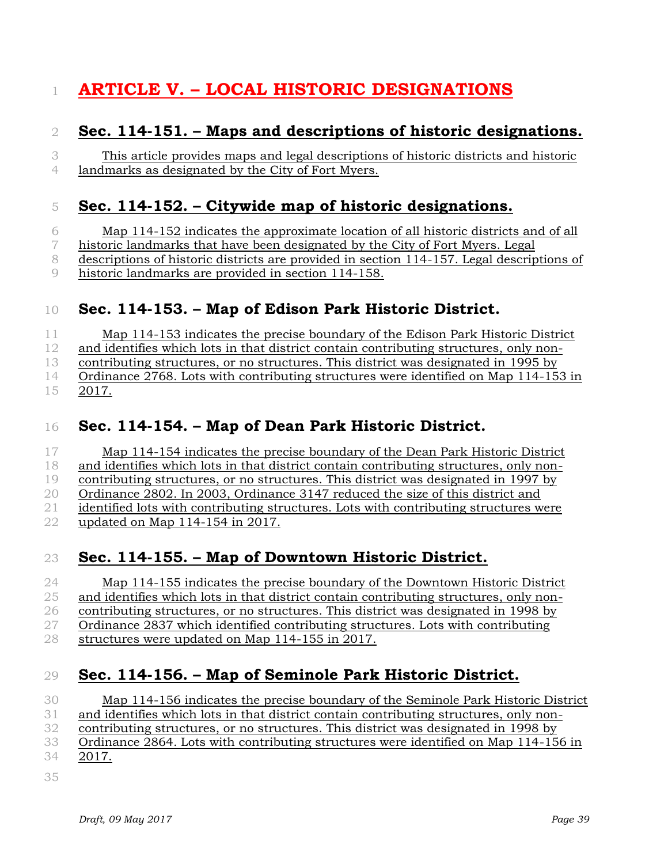# **ARTICLE V. – LOCAL HISTORIC DESIGNATIONS**

## **Sec. 114-151. – Maps and descriptions of historic designations.**

 This article provides maps and legal descriptions of historic districts and historic landmarks as designated by the City of Fort Myers.

## **Sec. 114-152. – Citywide map of historic designations.**

 Map 114-152 indicates the approximate location of all historic districts and of all historic landmarks that have been designated by the City of Fort Myers. Legal descriptions of historic districts are provided in section 114-157. Legal descriptions of historic landmarks are provided in section 114-158.

## **Sec. 114-153. – Map of Edison Park Historic District.**

 Map 114-153 indicates the precise boundary of the Edison Park Historic District 12 and identifies which lots in that district contain contributing structures, only non- contributing structures, or no structures. This district was designated in 1995 by Ordinance 2768. Lots with contributing structures were identified on Map 114-153 in 2017.

## **Sec. 114-154. – Map of Dean Park Historic District.**

 Map 114-154 indicates the precise boundary of the Dean Park Historic District and identifies which lots in that district contain contributing structures, only non- contributing structures, or no structures. This district was designated in 1997 by Ordinance 2802. In 2003, Ordinance 3147 reduced the size of this district and identified lots with contributing structures. Lots with contributing structures were updated on Map 114-154 in 2017.

## **Sec. 114-155. – Map of Downtown Historic District.**

 Map 114-155 indicates the precise boundary of the Downtown Historic District and identifies which lots in that district contain contributing structures, only non- contributing structures, or no structures. This district was designated in 1998 by Ordinance 2837 which identified contributing structures. Lots with contributing structures were updated on Map 114-155 in 2017.

## **Sec. 114-156. – Map of Seminole Park Historic District.**

 Map 114-156 indicates the precise boundary of the Seminole Park Historic District and identifies which lots in that district contain contributing structures, only non- contributing structures, or no structures. This district was designated in 1998 by Ordinance 2864. Lots with contributing structures were identified on Map 114-156 in 2017.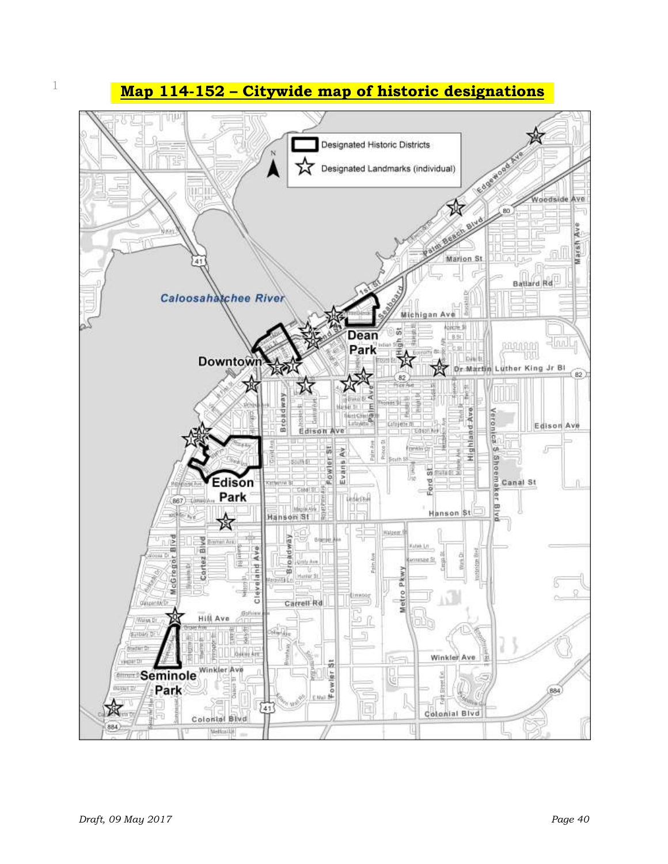<sup>1</sup> **Map 114-152 – Citywide map of historic designations**

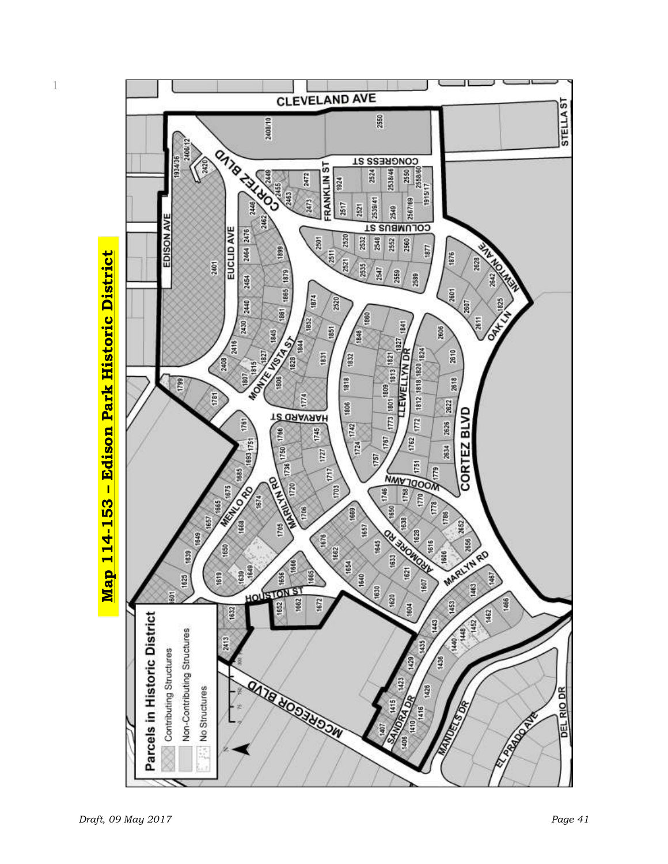

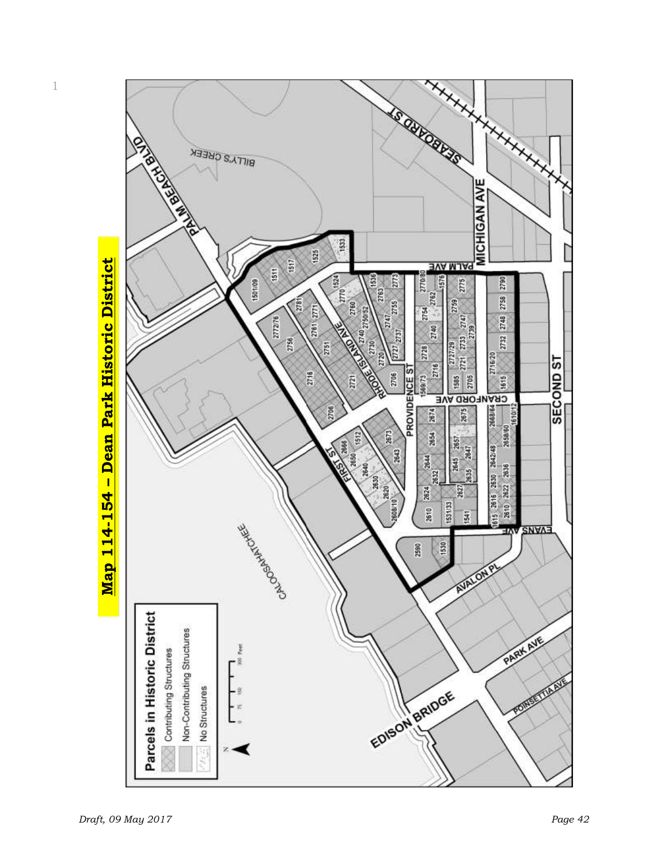

1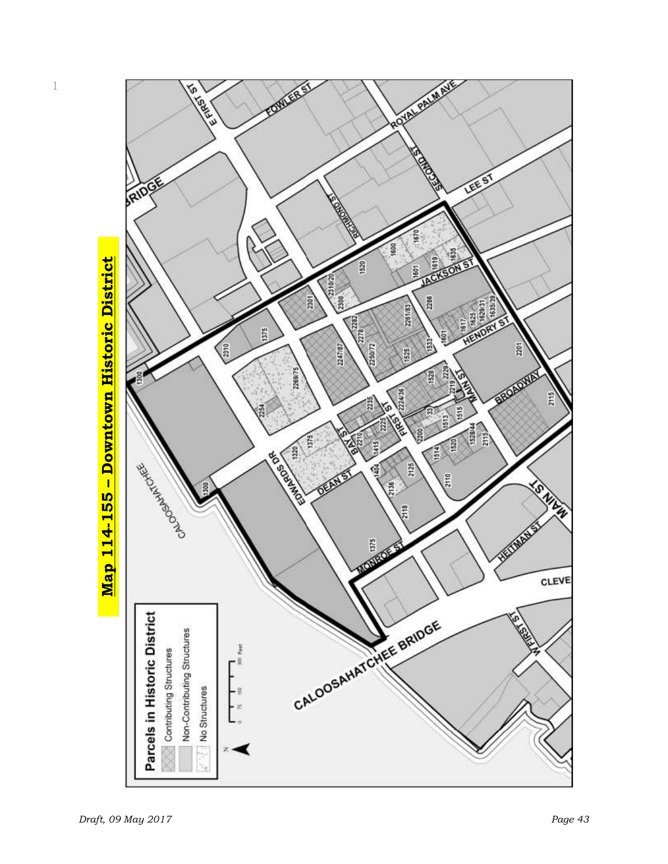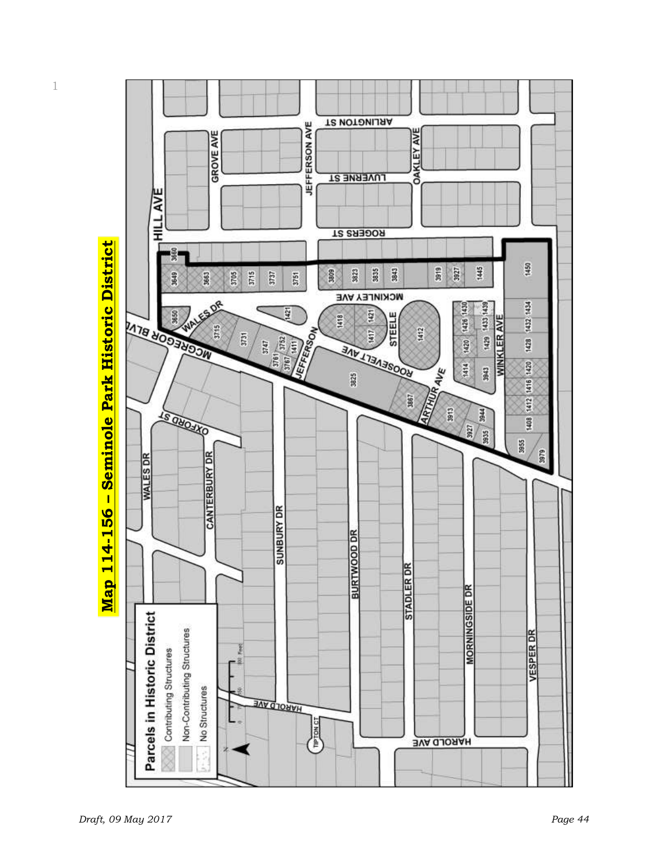Map 114-156 – Seminole Park Historic District **Map 114-156 – Seminole Park Historic District**

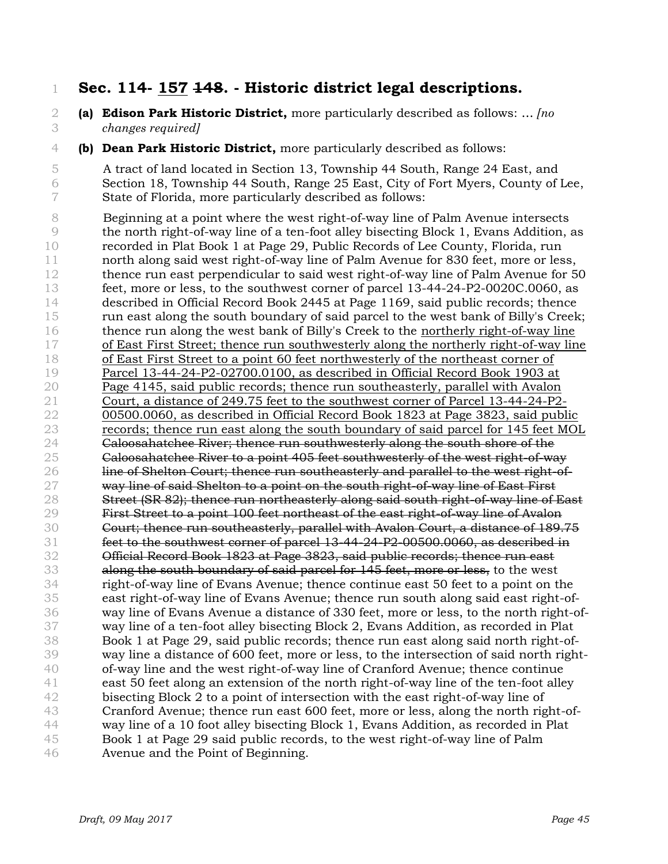### **Sec. 114- 157 148. - Historic district legal descriptions.**

- **(a) Edison Park Historic District,** more particularly described as follows: … *[no changes required]*
- **(b) Dean Park Historic District,** more particularly described as follows:

 A tract of land located in Section 13, Township 44 South, Range 24 East, and Section 18, Township 44 South, Range 25 East, City of Fort Myers, County of Lee, State of Florida, more particularly described as follows:

 Beginning at a point where the west right-of-way line of Palm Avenue intersects the north right-of-way line of a ten-foot alley bisecting Block 1, Evans Addition, as recorded in Plat Book 1 at Page 29, Public Records of Lee County, Florida, run north along said west right-of-way line of Palm Avenue for 830 feet, more or less, thence run east perpendicular to said west right-of-way line of Palm Avenue for 50 feet, more or less, to the southwest corner of parcel 13-44-24-P2-0020C.0060, as described in Official Record Book 2445 at Page 1169, said public records; thence run east along the south boundary of said parcel to the west bank of Billy's Creek; thence run along the west bank of Billy's Creek to the northerly right-of-way line of East First Street; thence run southwesterly along the northerly right-of-way line of East First Street to a point 60 feet northwesterly of the northeast corner of Parcel 13-44-24-P2-02700.0100, as described in Official Record Book 1903 at Page 4145, said public records; thence run southeasterly, parallel with Avalon Court, a distance of 249.75 feet to the southwest corner of Parcel 13-44-24-P2- 00500.0060, as described in Official Record Book 1823 at Page 3823, said public records; thence run east along the south boundary of said parcel for 145 feet MOL Caloosahatchee River; thence run southwesterly along the south shore of the Caloosahatchee River to a point 405 feet southwesterly of the west right-of-way **line of Shelton Court; thence run southeasterly and parallel to the west right-of-**27 way line of said Shelton to a point on the south right-of-way line of East First 28 Street (SR 82); thence run northeasterly along said south right-of-way line of East 29 First Street to a point 100 feet northeast of the east right-of-way line of Avalon Court; thence run southeasterly, parallel with Avalon Court, a distance of 189.75 feet to the southwest corner of parcel 13-44-24-P2-00500.0060, as described in Official Record Book 1823 at Page 3823, said public records; thence run east 33 along the south boundary of said parcel for 145 feet, more or less, to the west right-of-way line of Evans Avenue; thence continue east 50 feet to a point on the east right-of-way line of Evans Avenue; thence run south along said east right-of- way line of Evans Avenue a distance of 330 feet, more or less, to the north right-of- way line of a ten-foot alley bisecting Block 2, Evans Addition, as recorded in Plat Book 1 at Page 29, said public records; thence run east along said north right-of- way line a distance of 600 feet, more or less, to the intersection of said north right- of-way line and the west right-of-way line of Cranford Avenue; thence continue east 50 feet along an extension of the north right-of-way line of the ten-foot alley bisecting Block 2 to a point of intersection with the east right-of-way line of Cranford Avenue; thence run east 600 feet, more or less, along the north right-of- way line of a 10 foot alley bisecting Block 1, Evans Addition, as recorded in Plat Book 1 at Page 29 said public records, to the west right-of-way line of Palm Avenue and the Point of Beginning.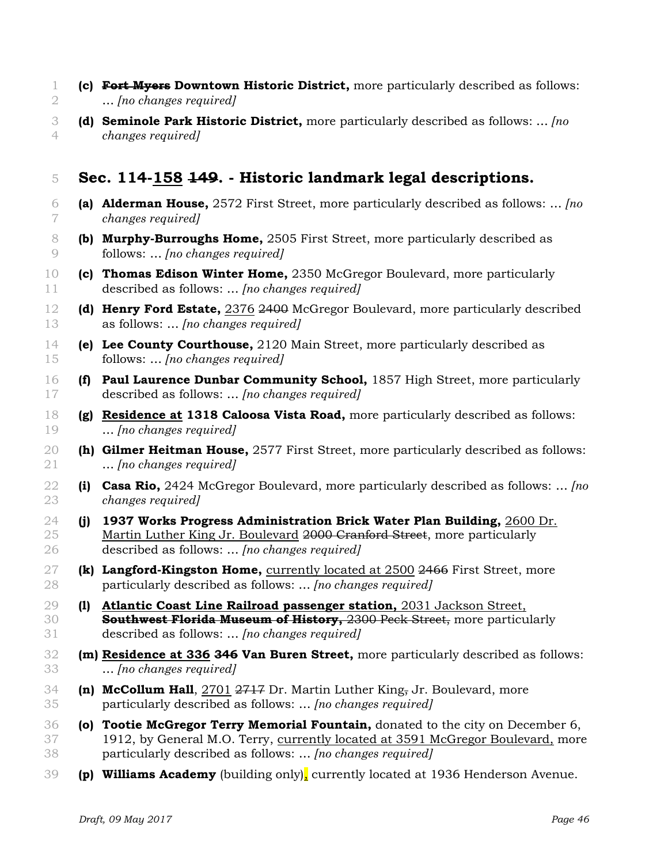- **(c) Fort Myers Downtown Historic District,** more particularly described as follows: … *[no changes required]*
- **(d) Seminole Park Historic District,** more particularly described as follows: … *[no changes required]*

## **Sec. 114-158 149. - Historic landmark legal descriptions.**

- **(a) Alderman House,** 2572 First Street, more particularly described as follows: … *[no changes required]*
- **(b) Murphy-Burroughs Home,** 2505 First Street, more particularly described as follows: … *[no changes required]*
- **(c) Thomas Edison Winter Home,** 2350 McGregor Boulevard, more particularly described as follows: … *[no changes required]*
- **(d) Henry Ford Estate,** 2376 2400 McGregor Boulevard, more particularly described as follows: … *[no changes required]*
- **(e) Lee County Courthouse,** 2120 Main Street, more particularly described as follows: … *[no changes required]*
- **(f) Paul Laurence Dunbar Community School,** 1857 High Street, more particularly described as follows: … *[no changes required]*
- **(g) Residence at 1318 Caloosa Vista Road,** more particularly described as follows: … *[no changes required]*
- **(h) Gilmer Heitman House,** 2577 First Street, more particularly described as follows: … *[no changes required]*
- **(i) Casa Rio,** 2424 McGregor Boulevard, more particularly described as follows: … *[no changes required]*
- **(j) 1937 Works Progress Administration Brick Water Plan Building,** 2600 Dr. 25 Martin Luther King Jr. Boulevard 2000 Cranford Street, more particularly described as follows: … *[no changes required]*
- **(k) Langford-Kingston Home,** currently located at 2500 2466 First Street, more particularly described as follows: … *[no changes required]*
- **(l) Atlantic Coast Line Railroad passenger station,** 2031 Jackson Street, **Southwest Florida Museum of History,** 2300 Peck Street, more particularly described as follows: … *[no changes required]*
- **(m) Residence at 336 346 Van Buren Street,** more particularly described as follows: … *[no changes required]*
- **(n) McCollum Hall**, 2701 2717 Dr. Martin Luther King, Jr. Boulevard, more particularly described as follows: … *[no changes required]*
- **(o) Tootie McGregor Terry Memorial Fountain,** donated to the city on December 6, 1912, by General M.O. Terry, currently located at 3591 McGregor Boulevard, more particularly described as follows: … *[no changes required]*
- **(p) Williams Academy** (building only), currently located at 1936 Henderson Avenue.